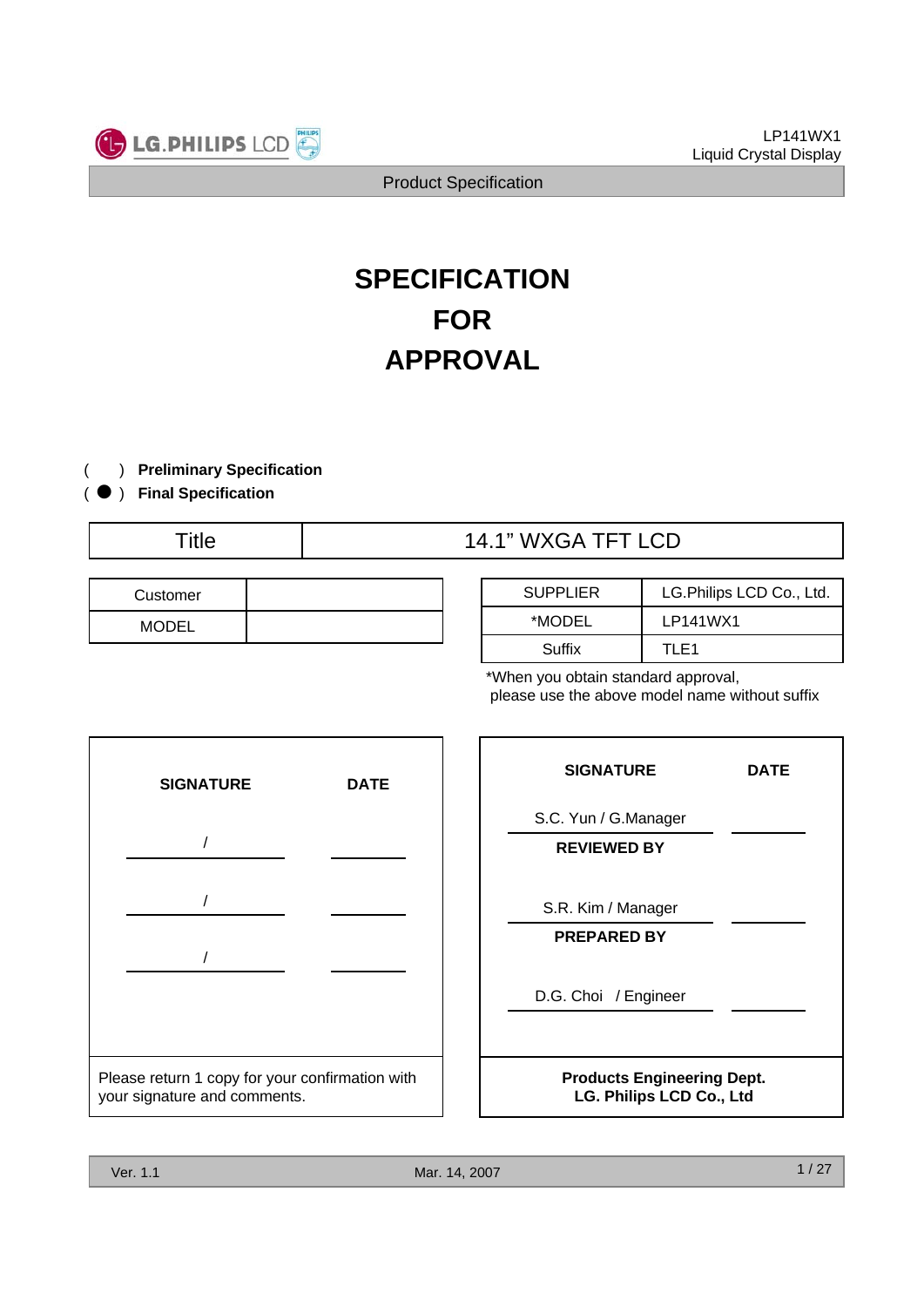

# **SPECIFICATION FOR APPROVAL**

- ) **Preliminary Specification**(
- ) ( **Final Specification**
	-

# Title  $\begin{array}{c|c}\n\end{array}$  14.1" WXGA TFT LCD

| Customer     |  |
|--------------|--|
| <b>MODEL</b> |  |

| <b>SUPPLIER</b> | LG. Philips LCD Co., Ltd. |
|-----------------|---------------------------|
| *MODEL          | LP141WX1                  |
| Suffix          | TI F1                     |

\*When you obtain standard approval, please use the above model name without suffix



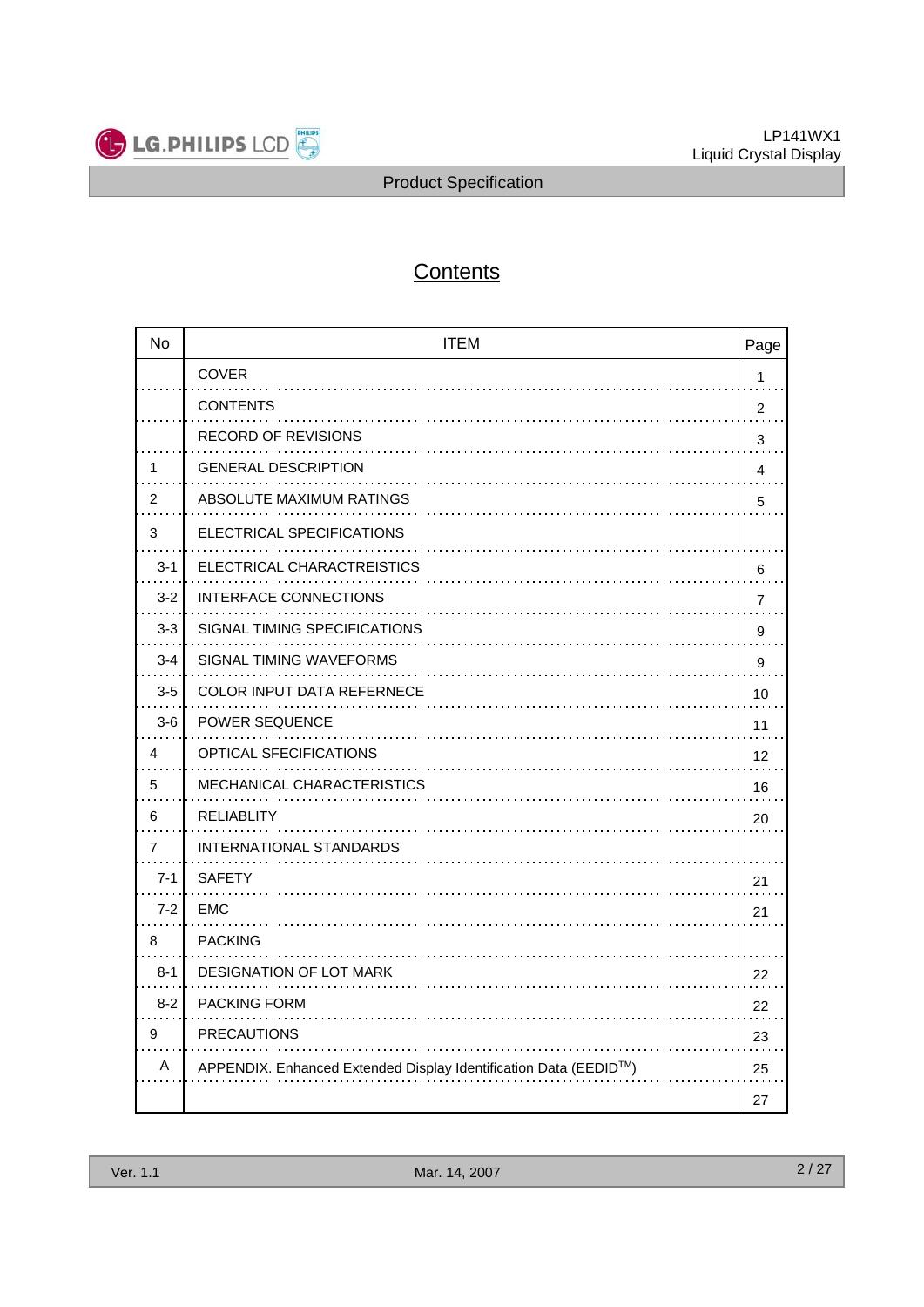

# **Contents**

| <b>No</b> | <b>ITEM</b>                                                      | Page                    |
|-----------|------------------------------------------------------------------|-------------------------|
|           | <b>COVER</b>                                                     | 1                       |
|           | <b>CONTENTS</b>                                                  | $\overline{2}$          |
|           | <b>RECORD OF REVISIONS</b>                                       | 3                       |
| 1         | <b>GENERAL DESCRIPTION</b>                                       | $\overline{\mathbf{4}}$ |
| 2         | ABSOLUTE MAXIMUM RATINGS                                         | 5                       |
| 3         | ELECTRICAL SPECIFICATIONS                                        |                         |
| $3 - 1$   | ELECTRICAL CHARACTREISTICS                                       | 6                       |
| $3 - 2$   | <b>INTERFACE CONNECTIONS</b>                                     | $\overline{7}$          |
| $3 - 3$   | SIGNAL TIMING SPECIFICATIONS                                     | 9                       |
| $3 - 4$   | SIGNAL TIMING WAVEFORMS                                          | 9                       |
| $3-5$     | <b>COLOR INPUT DATA REFERNECE</b>                                | 10                      |
| $3-6$     | <b>POWER SEQUENCE</b>                                            | 11                      |
| 4         | OPTICAL SFECIFICATIONS                                           | 12                      |
| 5         | <b>MECHANICAL CHARACTERISTICS</b>                                | 16                      |
| 6         | RELIABLITY                                                       | 20                      |
| 7         | <b>INTERNATIONAL STANDARDS</b>                                   |                         |
| $7 - 1$   | <b>SAFETY</b>                                                    | 21                      |
| $7 - 2$   | EMC                                                              | 21                      |
| 8         | <b>PACKING</b>                                                   |                         |
| $8 - 1$   | <b>DESIGNATION OF LOT MARK</b>                                   | 22                      |
| $8 - 2$   | <b>PACKING FORM</b>                                              | 22                      |
| 9         | <b>PRECAUTIONS</b>                                               | 23                      |
| A         | APPENDIX. Enhanced Extended Display Identification Data (EEDID™) | 25                      |
|           |                                                                  | 27                      |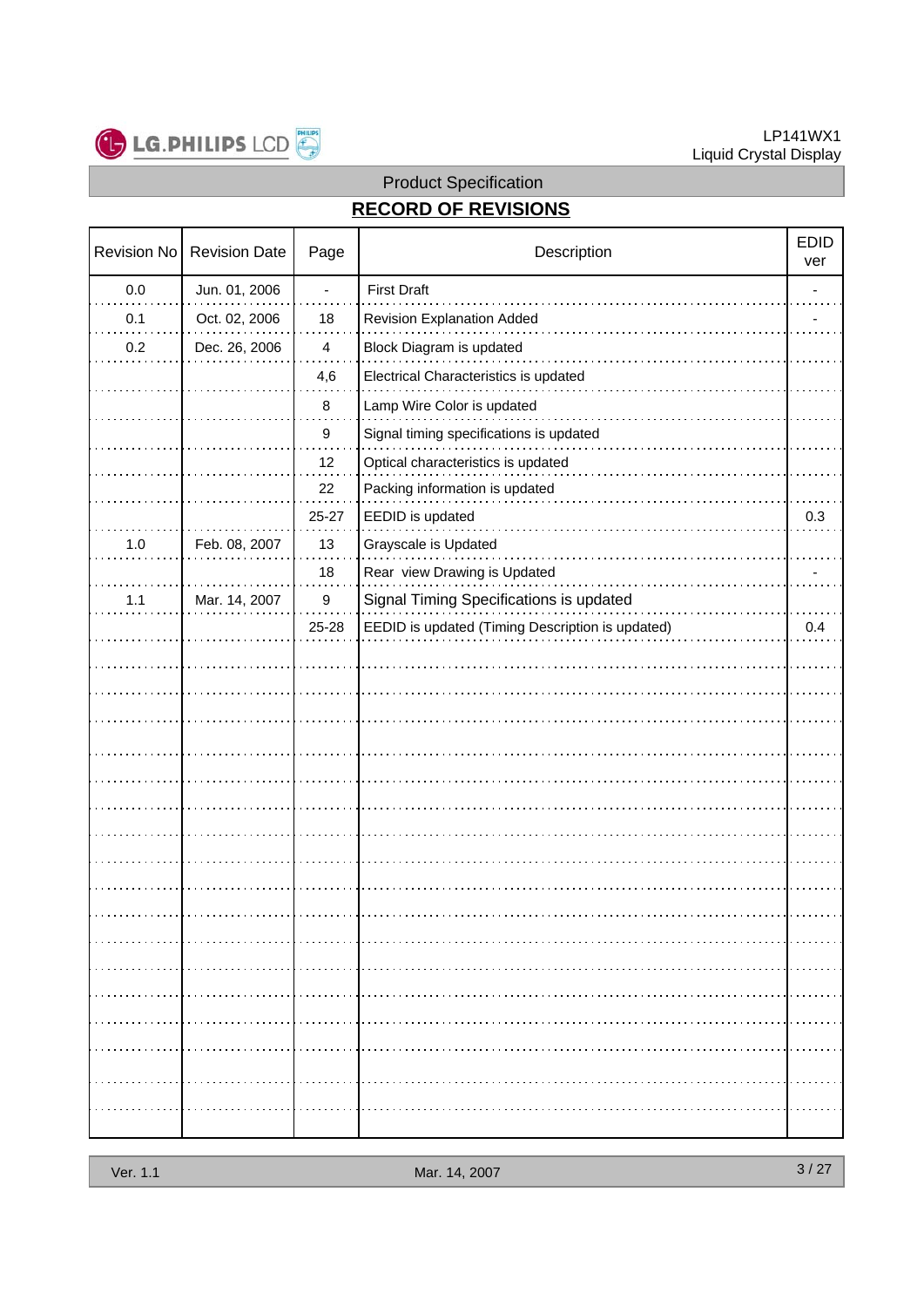

#### LP141WX1 Liquid Crystal Display

# Product Specification

# **RECORD OF REVISIONS**

| Revision No | <b>Revision Date</b> | Page                     | Description                                      | <b>EDID</b><br>ver |
|-------------|----------------------|--------------------------|--------------------------------------------------|--------------------|
| $0.0\,$     | Jun. 01, 2006        | $\overline{\phantom{a}}$ | <b>First Draft</b>                               |                    |
| 0.1         | Oct. 02, 2006        | 18                       | <b>Revision Explanation Added</b>                |                    |
| 0.2         | Dec. 26, 2006        | $\overline{\mathbf{4}}$  | Block Diagram is updated                         |                    |
|             |                      | 4,6                      | Electrical Characteristics is updated            |                    |
|             |                      | 8                        | Lamp Wire Color is updated                       |                    |
|             |                      | $\boldsymbol{9}$         | Signal timing specifications is updated          |                    |
|             |                      | 12                       | Optical characteristics is updated               |                    |
|             |                      | 22                       | Packing information is updated                   |                    |
|             |                      | 25-27                    | EEDID is updated                                 | 0.3                |
| $1.0\,$     | Feb. 08, 2007        | 13                       | Grayscale is Updated                             |                    |
|             |                      | 18                       | Rear view Drawing is Updated                     |                    |
| 1.1         | Mar. 14, 2007        | $\boldsymbol{9}$         | Signal Timing Specifications is updated          |                    |
|             |                      | 25-28                    | EEDID is updated (Timing Description is updated) | 0.4                |
|             |                      |                          |                                                  |                    |
|             |                      |                          |                                                  |                    |
|             |                      |                          |                                                  |                    |
|             |                      |                          |                                                  |                    |
|             |                      |                          |                                                  |                    |
|             |                      |                          |                                                  |                    |
|             |                      |                          |                                                  |                    |
|             |                      |                          |                                                  |                    |
|             |                      |                          |                                                  |                    |
|             |                      |                          |                                                  |                    |
|             |                      |                          |                                                  |                    |
|             |                      |                          |                                                  |                    |
|             |                      |                          |                                                  |                    |
|             |                      |                          |                                                  |                    |
|             |                      |                          |                                                  |                    |
|             |                      |                          |                                                  |                    |
|             |                      |                          |                                                  |                    |
|             |                      |                          |                                                  |                    |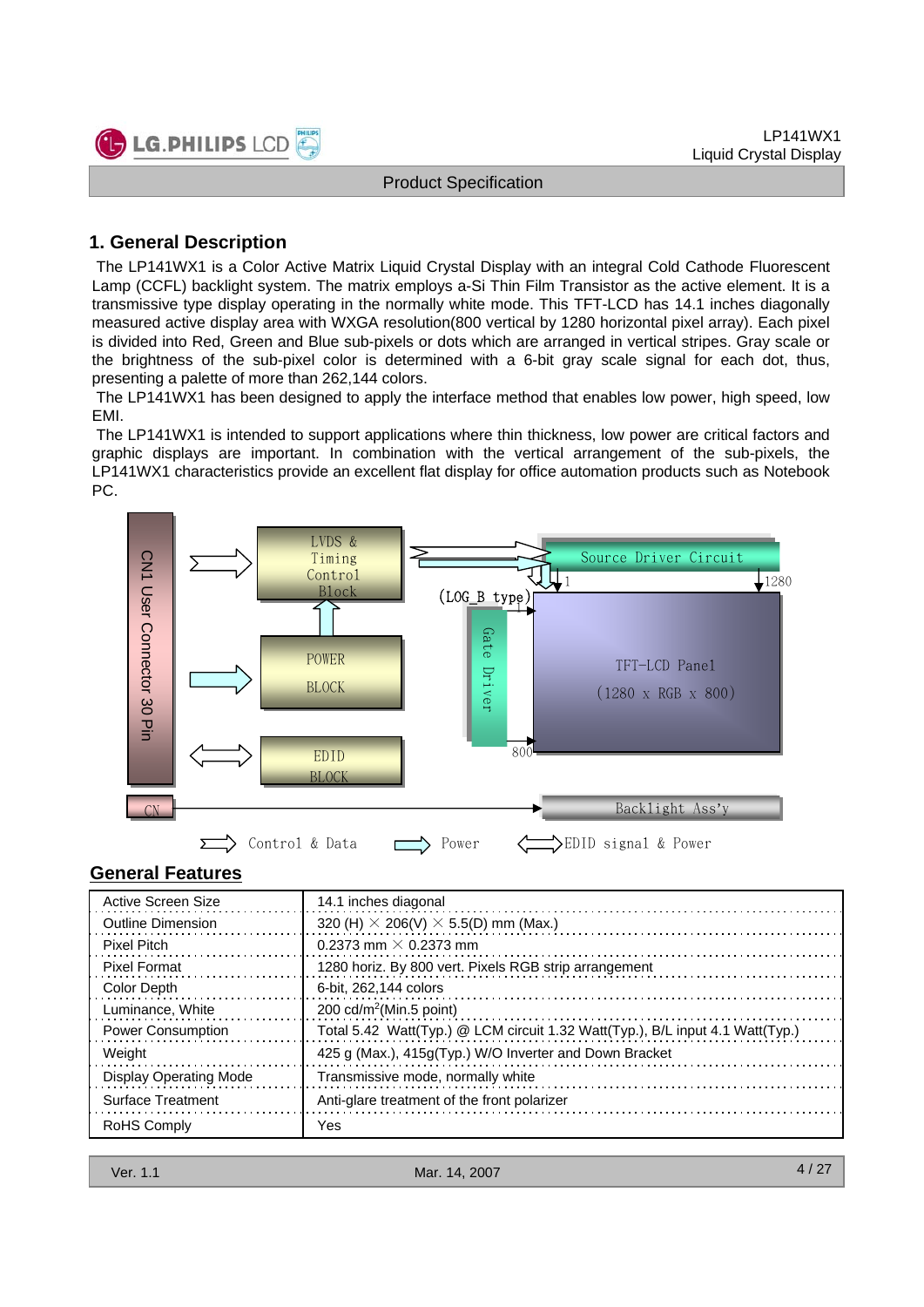

## **1. General Description**

The LP141WX1 is a Color Active Matrix Liquid Crystal Display with an integral Cold Cathode Fluorescent Lamp (CCFL) backlight system. The matrix employs a-Si Thin Film Transistor as the active element. It is a transmissive type display operating in the normally white mode. This TFT-LCD has 14.1 inches diagonally measured active display area with WXGA resolution(800 vertical by 1280 horizontal pixel array). Each pixel is divided into Red, Green and Blue sub-pixels or dots which are arranged in vertical stripes. Gray scale or the brightness of the sub-pixel color is determined with a 6-bit gray scale signal for each dot, thus, presenting a palette of more than 262,144 colors.

The LP141WX1 has been designed to apply the interface method that enables low power, high speed, low EMI.

The LP141WX1 is intended to support applications where thin thickness, low power are critical factors and graphic displays are important. In combination with the vertical arrangement of the sub-pixels, the LP141WX1 characteristics provide an excellent flat display for office automation products such as Notebook PC.



## **General Features**

| Active Screen Size            | 14.1 inches diagonal                                                          |
|-------------------------------|-------------------------------------------------------------------------------|
| <b>Outline Dimension</b>      | 320 (H) $\times$ 206(V) $\times$ 5.5(D) mm (Max.)                             |
| Pixel Pitch                   | 0.2373 mm $\times$ 0.2373 mm                                                  |
| <b>Pixel Format</b>           | 1280 horiz. By 800 vert. Pixels RGB strip arrangement                         |
| Color Depth                   | 6-bit. 262.144 colors                                                         |
| Luminance, White              | 200 cd/m <sup>2</sup> (Min.5 point)                                           |
| <b>Power Consumption</b>      | Total 5.42 Watt(Typ.) @ LCM circuit 1.32 Watt(Typ.), B/L input 4.1 Watt(Typ.) |
| Weight                        | 425 g (Max.), 415g (Typ.) W/O Inverter and Down Bracket                       |
| <b>Display Operating Mode</b> | Transmissive mode, normally white                                             |
| <b>Surface Treatment</b>      | Anti-glare treatment of the front polarizer                                   |
| <b>RoHS Comply</b>            | Yes                                                                           |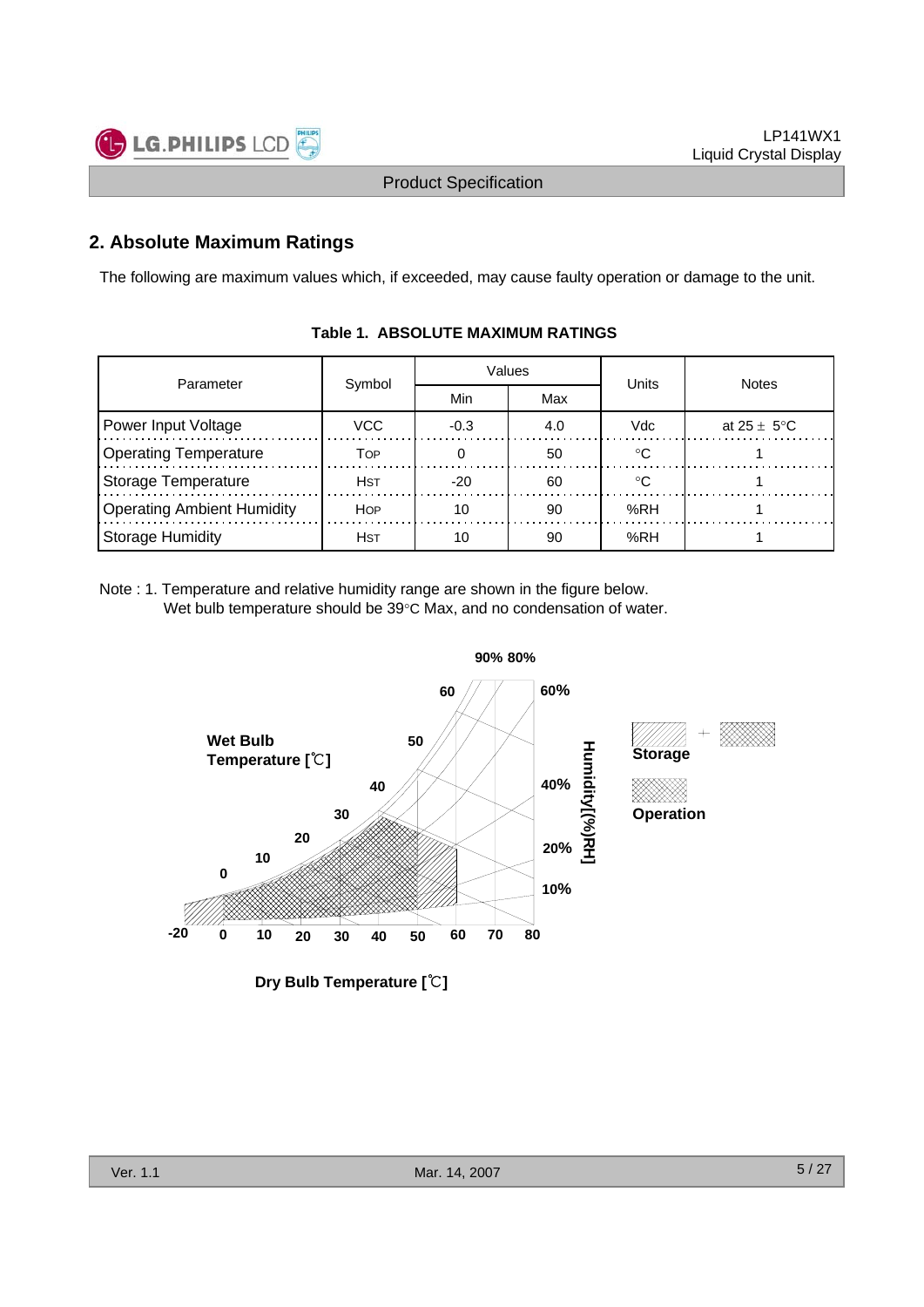

## **2. Absolute Maximum Ratings**

The following are maximum values which, if exceeded, may cause faulty operation or damage to the unit.

| Parameter                         |             |        | Values | Units  | <b>Notes</b>            |  |  |
|-----------------------------------|-------------|--------|--------|--------|-------------------------|--|--|
|                                   | Symbol      | Min    | Max    |        |                         |  |  |
| Power Input Voltage<br>VCC.       |             | $-0.3$ | 4.0    | Vdc    | at $25 \pm 5^{\circ}$ C |  |  |
| <b>Operating Temperature</b>      | Тор         |        | 50     | $\sim$ |                         |  |  |
| <b>Storage Temperature</b>        | <b>H</b> st | $-20$  | 60     | $\sim$ |                         |  |  |
| <b>Operating Ambient Humidity</b> | <b>HOP</b>  | 10     | 90     | %RH    |                         |  |  |
| <b>Storage Humidity</b>           | <b>H</b> ST | 10     | 90     | %RH    |                         |  |  |

#### **Table 1. ABSOLUTE MAXIMUM RATINGS**

Note : 1. Temperature and relative humidity range are shown in the figure below. Wet bulb temperature should be 39°C Max, and no condensation of water.



**Dry Bulb Temperature [**℃**]**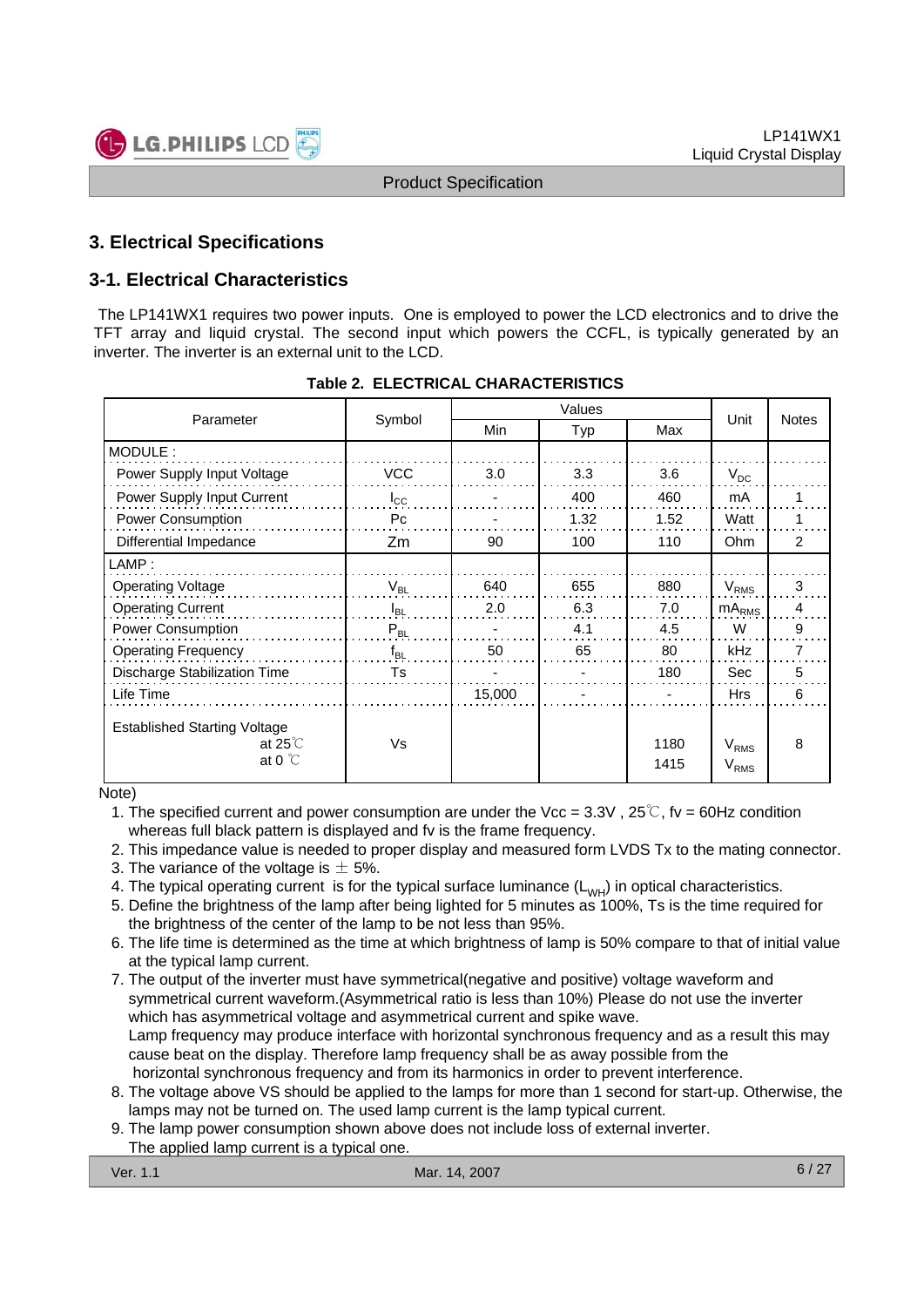

## **3. Electrical Specifications**

## **3-1. Electrical Characteristics**

The LP141WX1 requires two power inputs. One is employed to power the LCD electronics and to drive the TFT array and liquid crystal. The second input which powers the CCFL, is typically generated by an inverter. The inverter is an external unit to the LCD.

| Parameter                                                                    | Symbol         | Min    | Typ  | Max          | Unit                          | <b>Notes</b>  |  |
|------------------------------------------------------------------------------|----------------|--------|------|--------------|-------------------------------|---------------|--|
| MODULE:                                                                      |                |        |      |              |                               |               |  |
| Power Supply Input Voltage                                                   | <b>VCC</b>     | 3.0    | 3.3  | 3.6          | $V_{DC}$                      |               |  |
| Power Supply Input Current                                                   | $I_{\rm CC}$   |        | 400  | 460          | mA                            |               |  |
| Power Consumption                                                            | P <sub>C</sub> |        | 1.32 | 1.52         | Watt                          |               |  |
| Differential Impedance                                                       | Zm             | 90     | 100  | 110          | Ohm                           | $\mathcal{P}$ |  |
| LAMP:                                                                        |                |        |      |              |                               |               |  |
| <b>Operating Voltage</b>                                                     | $V_{BL}$       | 640    | 655  | 880          | V <sub>RMS</sub>              | 3             |  |
| <b>Operating Current</b>                                                     | $I_{BL}$       | 2.0    | 6.3  | 7.0          | $mA_{RMS}$                    | 4             |  |
| <b>Power Consumption</b>                                                     | $P_{BL}$       |        | 4.1  | 4.5          | W                             | 9             |  |
| <b>Operating Frequency</b>                                                   | $f_{BL}$       | 50     | 65   | 80           | kHz                           | 7             |  |
| Discharge Stabilization Time                                                 | Ts             |        |      | 180          | Sec                           | 5             |  |
| Life Time                                                                    |                | 15,000 |      |              | <b>Hrs</b>                    | 6             |  |
| <b>Established Starting Voltage</b><br>at 25 $\degree$ C<br>at 0 $\degree$ C | Vs             |        |      | 1180<br>1415 | $V_{RMS}$<br>V <sub>RMS</sub> | 8             |  |

#### **Table 2. ELECTRICAL CHARACTERISTICS**

Note)

- 1. The specified current and power consumption are under the Vcc =  $3.3V$ ,  $25^{\circ}$ , fv = 60Hz condition whereas full black pattern is displayed and fv is the frame frequency.
- 2. This impedance value is needed to proper display and measured form LVDS Tx to the mating connector.
- 3. The variance of the voltage is  $\pm$  5%.
- 4. The typical operating current is for the typical surface luminance  $(L_{WH})$  in optical characteristics.
- 5. Define the brightness of the lamp after being lighted for 5 minutes as 100%, Ts is the time required for the brightness of the center of the lamp to be not less than 95%.
- 6. The life time is determined as the time at which brightness of lamp is 50% compare to that of initial value at the typical lamp current.
- 7. The output of the inverter must have symmetrical(negative and positive) voltage waveform and symmetrical current waveform.(Asymmetrical ratio is less than 10%) Please do not use the inverter which has asymmetrical voltage and asymmetrical current and spike wave. Lamp frequency may produce interface with horizontal synchronous frequency and as a result this may cause beat on the display. Therefore lamp frequency shall be as away possible from the horizontal synchronous frequency and from its harmonics in order to prevent interference.
- 8. The voltage above VS should be applied to the lamps for more than 1 second for start-up. Otherwise, the lamps may not be turned on. The used lamp current is the lamp typical current.
- 9. The lamp power consumption shown above does not include loss of external inverter.
- The applied lamp current is a typical one.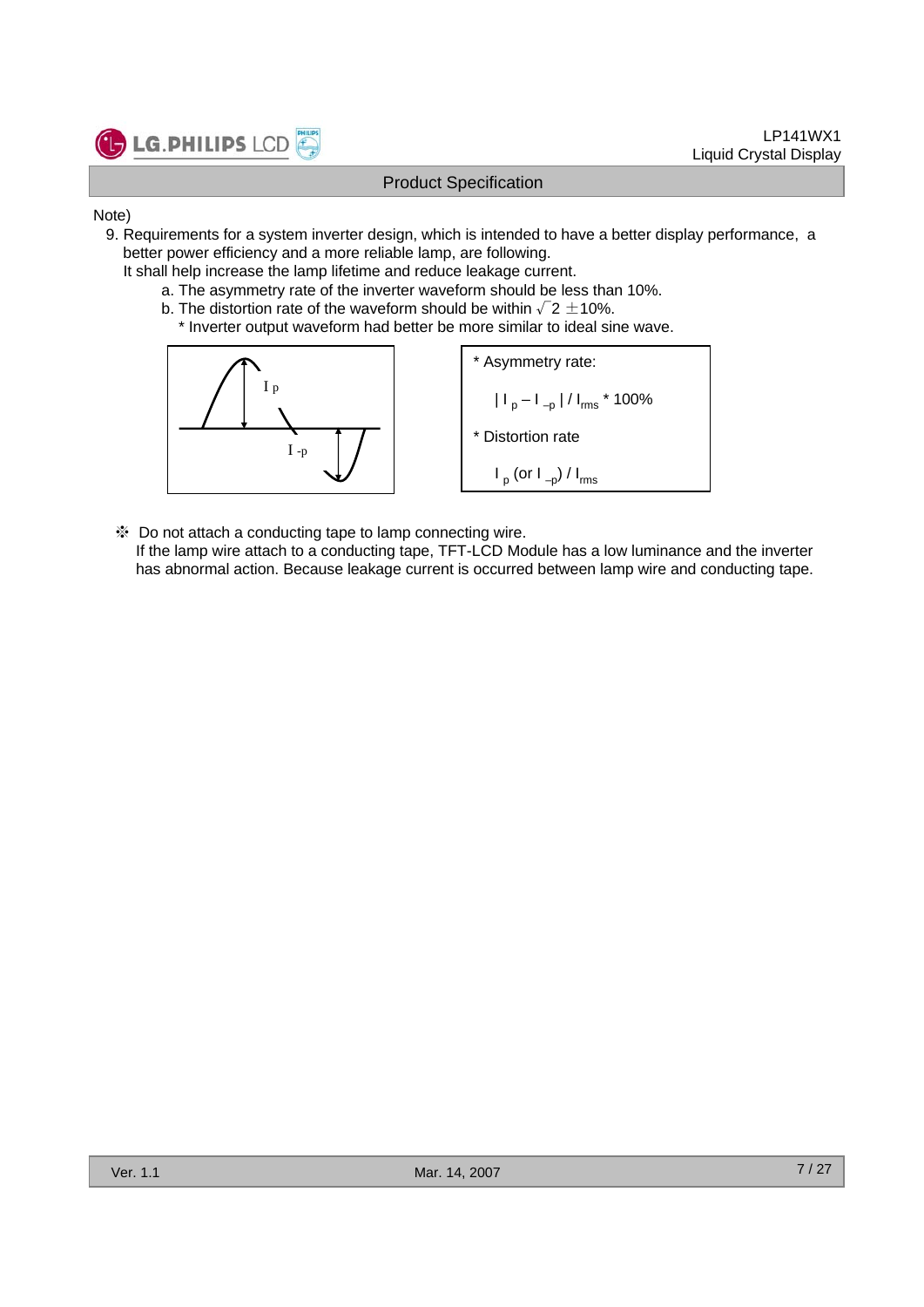

- Note)
	- 9. Requirements for a system inverter design, which is intended to have a better display performance, a better power efficiency and a more reliable lamp, are following.
		- It shall help increase the lamp lifetime and reduce leakage current.
			- a. The asymmetry rate of the inverter waveform should be less than 10%.
			- b. The distortion rate of the waveform should be within  $\sqrt{2} \pm 10\%$ .
				- \* Inverter output waveform had better be more similar to ideal sine wave.



※ Do not attach a conducting tape to lamp connecting wire. If the lamp wire attach to a conducting tape, TFT-LCD Module has a low luminance and the inverter has abnormal action. Because leakage current is occurred between lamp wire and conducting tape.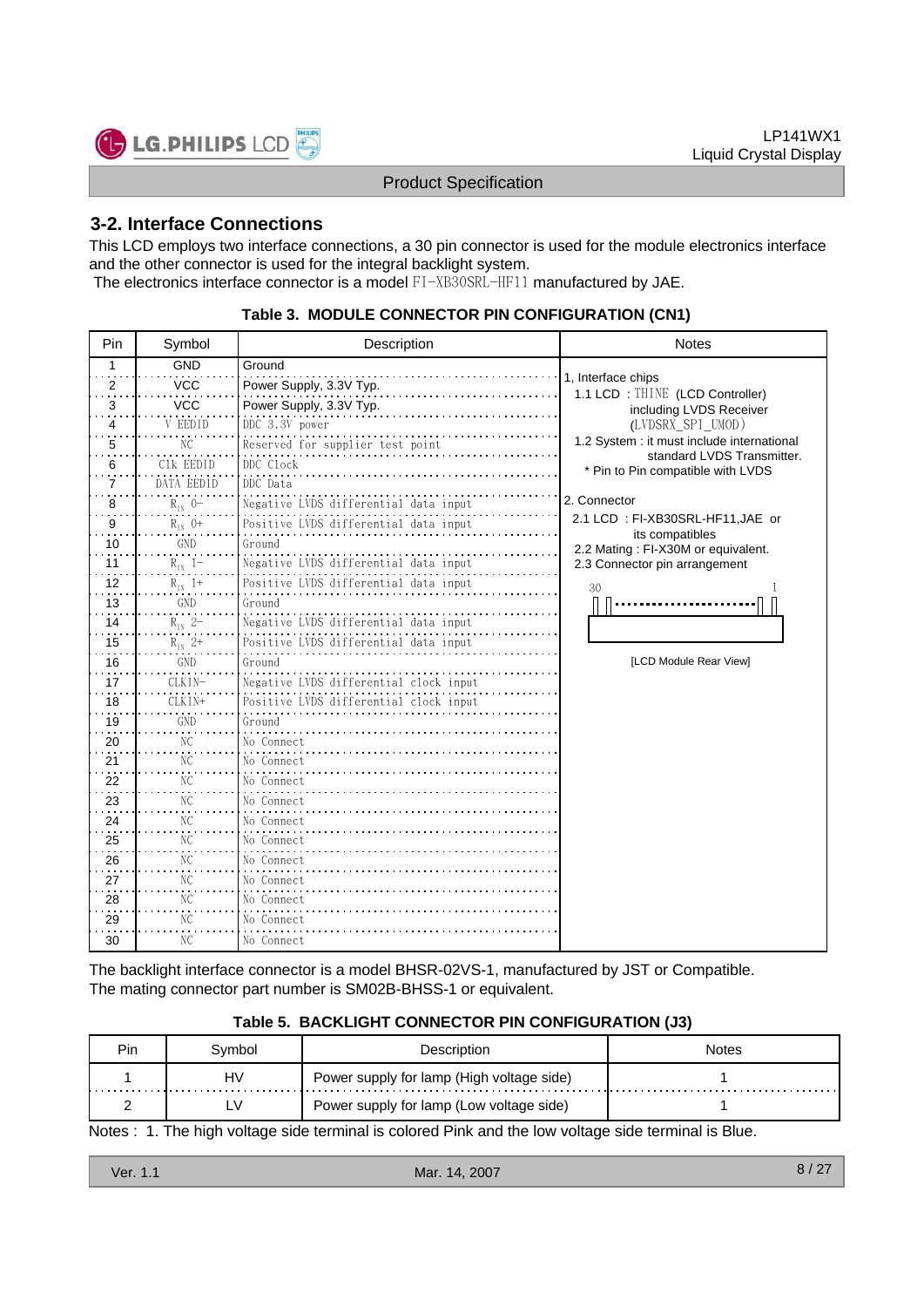

## **3-2. Interface Connections**

This LCD employs two interface connections, a 30 pin connector is used for the module electronics interface and the other connector is used for the integral backlight system. The electronics interface connector is a model FI-XB30SRL-HF11 manufactured by JAE.

| Pin | Symbol         | Description                            | <b>Notes</b>                                                    |
|-----|----------------|----------------------------------------|-----------------------------------------------------------------|
| 1   | <b>GND</b>     | Ground                                 |                                                                 |
| 2   | <b>VCC</b>     | Power Supply, 3.3V Typ.                | 1, Interface chips<br>1.1 LCD: THINE (LCD Controller)           |
| 3   | <b>VCC</b>     | Power Supply, 3.3V Typ.                | including LVDS Receiver                                         |
| 4   | V EEDID        | DDC 3.3V power                         | (LVDSRX SPI UMOD)                                               |
| 5   | NС             | Reserved for supplier test point       | 1.2 System : it must include international                      |
| 6   | C1k EEDID      | DDC Clock                              | standard LVDS Transmitter.<br>* Pin to Pin compatible with LVDS |
| 7   | DATA EEDID     | DDC Data                               |                                                                 |
| 8   | $R_{IN}$ 0-    | Negative LVDS differential data input  | 2. Connector                                                    |
| 9   | $R_{IN}$ 0+    | Positive LVDS differential data input  | 2.1 LCD: FI-XB30SRL-HF11, JAE or                                |
| 10  | GND            | Ground                                 | its compatibles<br>2.2 Mating: FI-X30M or equivalent.           |
| 11  | $R_{IN}$ 1-    | Negative LVDS differential data input  | 2.3 Connector pin arrangement                                   |
| 12  | $R_{IN}$ 1+    | Positive LVDS differential data input  | 30                                                              |
| 13  | GND            | Ground                                 |                                                                 |
| 14  | $R_{IN}$ 2-    | Negative LVDS differential data input  |                                                                 |
| 15  | $R_{IN}$ 2+    | Positive LVDS differential data input  |                                                                 |
| 16  | GND            | Ground                                 | [LCD Module Rear View]                                          |
| 17  | CLKIN-         | Negative LVDS differential clock input |                                                                 |
| 18  | CLKIN+         | Positive LVDS differential clock input |                                                                 |
| 19  | GND            | Ground                                 |                                                                 |
| 20  | NC             | No Connect                             |                                                                 |
| 21  | NC.            | No Connect                             |                                                                 |
| 22  | N <sub>C</sub> | No Connect                             |                                                                 |
| 23  | NС             | No Connect                             |                                                                 |
| 24  | NC             | No Connect                             |                                                                 |
| 25  | NC             | No Connect                             |                                                                 |
| 26  | NС             | No Connect                             |                                                                 |
| 27  | N <sub>C</sub> | No Connect                             |                                                                 |
| 28  | NС             | No Connect                             |                                                                 |
| 29  | NС             | No Connect                             |                                                                 |
| 30  | NC.            | No Connect                             |                                                                 |

#### **Table 3. MODULE CONNECTOR PIN CONFIGURATION (CN1)**

The backlight interface connector is a model BHSR-02VS-1, manufactured by JST or Compatible. The mating connector part number is SM02B-BHSS-1 or equivalent.

#### **Table 5. BACKLIGHT CONNECTOR PIN CONFIGURATION (J3)**

| <b>Pin</b> | Svmbol | Description                               | Notes |
|------------|--------|-------------------------------------------|-------|
|            | H٧     | Power supply for lamp (High voltage side) |       |
|            | L٧     | Power supply for lamp (Low voltage side)  |       |

Notes : 1. The high voltage side terminal is colored Pink and the low voltage side terminal is Blue.

| Ver. 1.1 | Mar. 14, 2007 | $-27$<br>8. |
|----------|---------------|-------------|
|          |               |             |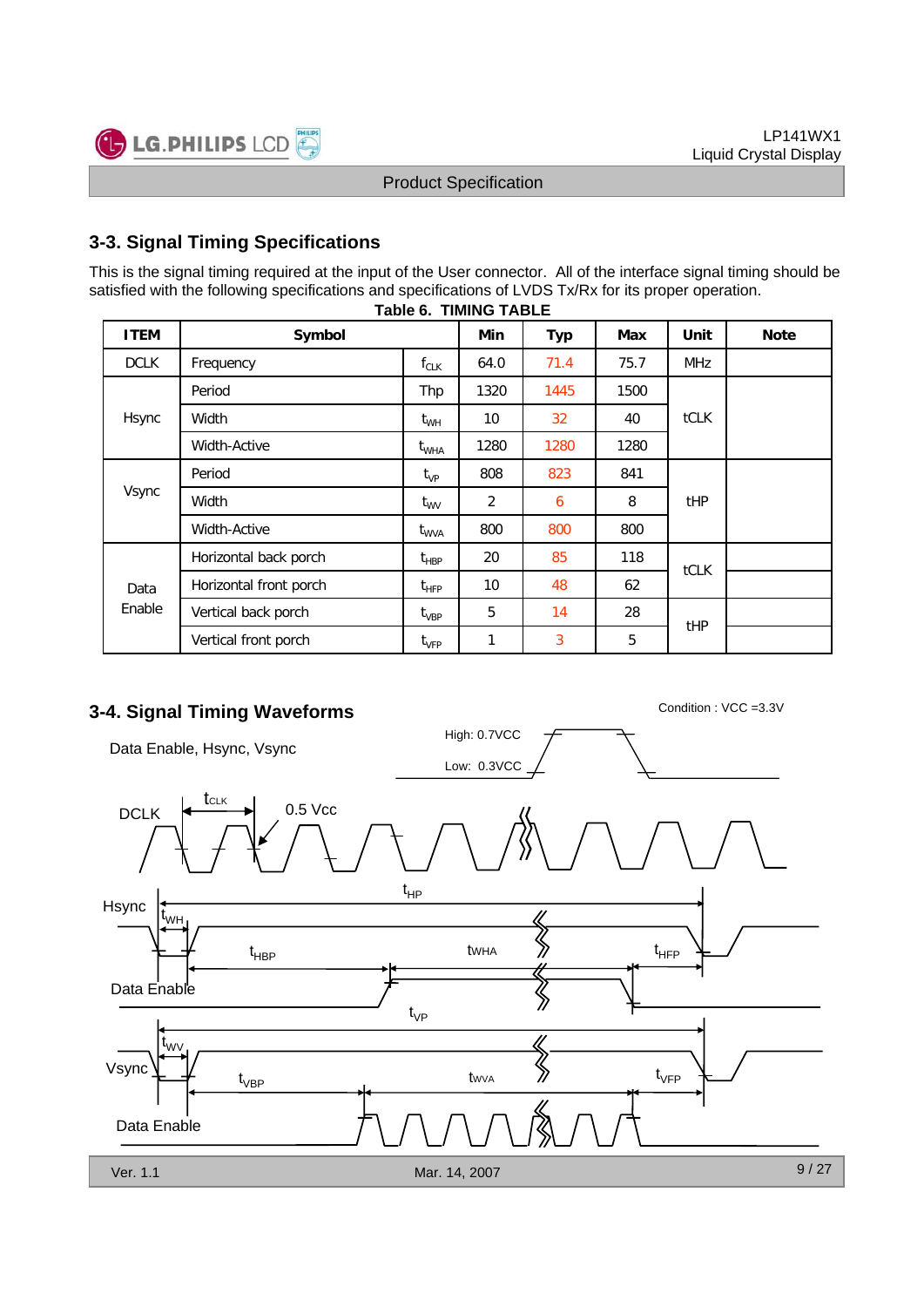

## **3-3. Signal Timing Specifications**

This is the signal timing required at the input of the User connector. All of the interface signal timing should be satisfied with the following specifications and specifications of LVDS Tx/Rx for its proper operation.

| <b>ITEM</b> | Symbol                 |                                               | Min  | <b>Typ</b> | Max  | Unit       | <b>Note</b> |
|-------------|------------------------|-----------------------------------------------|------|------------|------|------------|-------------|
| <b>DCLK</b> | Frequency              | $f_{CLK}$                                     | 64.0 | 71.4       | 75.7 | <b>MHz</b> |             |
|             | Period                 | Thp                                           | 1320 | 1445       | 1500 |            |             |
| Hsync       | Width                  | $t_{WH}$                                      | 10   | 32         | 40   | tCLK       |             |
|             | Width-Active           | $\tau_{\text{WHA}}$                           | 1280 | 1280       | 1280 |            |             |
| Vsync       | Period                 | $t_{VP}$                                      | 808  | 823        | 841  |            |             |
|             | Width                  | $t_{\rm WV}$                                  | 2    | 6          | 8    | tHP        |             |
|             | Width-Active           | $\rm{t_{WVA}}$                                | 800  | 800        | 800  |            |             |
|             | Horizontal back porch  | $\mathsf{t}_{\mathsf{H}\mathsf{B}\mathsf{P}}$ | 20   | 85         | 118  |            |             |
| Data        | Horizontal front porch | $t_{\sf HFP}$                                 | 10   | 48         | 62   | tCLK       |             |
| Enable      | Vertical back porch    | $t_{\sf VBP}$                                 | 5    | 14         | 28   | tHP        |             |
|             | Vertical front porch   | $t_{\rm VFP}$                                 | 1    | 3          | 5    |            |             |

#### **Table 6. TIMING TABLE**

## **3-4. Signal Timing Waveforms** Condition : VCC =3.3V

High: 0.7VCC Data Enable, Hsync, Vsync Low: 0.3VCC **t**clk  $DCLK$   $\leftarrow$   $\leftarrow$  0.5 Vcc t HP Hsync t WH  $t_{\sf HRP}$  twist  $\langle t \rangle$  twist twist the  $\langle t \rangle$ tWHA HBP HFP Data Enable t VP t WV  $\left\langle\!\!\left\langle \right\rangle\!\!\right\rangle$ Vsync t VFP tWVA t VBP Data Enable 9 / 27 Ver. 1.1 Mar. 14, 2007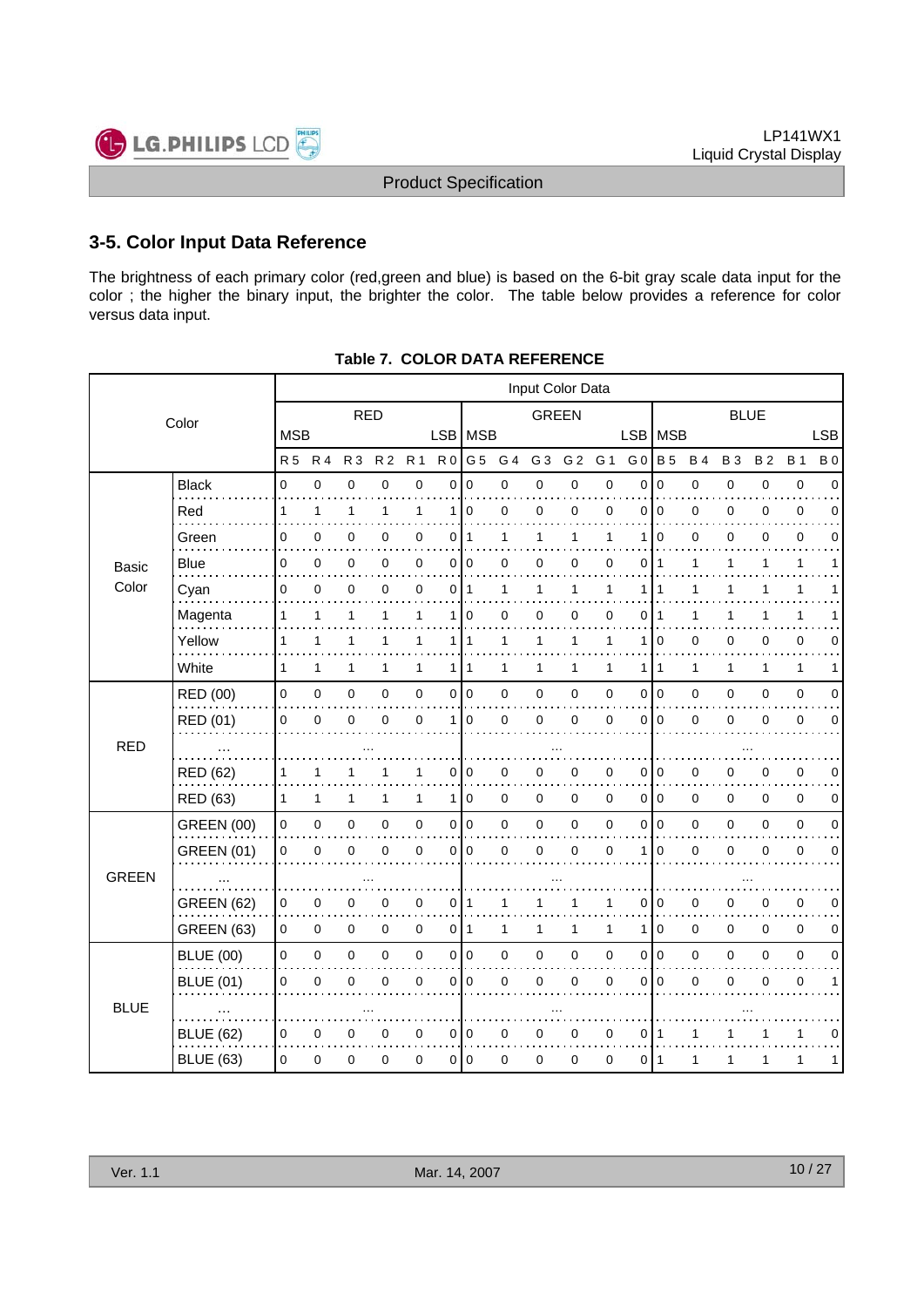

## **3-5. Color Input Data Reference**

The brightness of each primary color (red,green and blue) is based on the 6-bit gray scale data input for the color ; the higher the binary input, the brighter the color. The table below provides a reference for color versus data input.

|              |                   |              |              | Input Color Data |                |              |                |                |              |                |                |             |                |                |           |             |             |              |             |
|--------------|-------------------|--------------|--------------|------------------|----------------|--------------|----------------|----------------|--------------|----------------|----------------|-------------|----------------|----------------|-----------|-------------|-------------|--------------|-------------|
|              | Color             | <b>RED</b>   |              |                  |                |              |                | <b>GREEN</b>   |              |                |                | <b>BLUE</b> |                |                |           |             |             |              |             |
|              |                   | <b>MSB</b>   |              |                  |                |              | LSB MSB        |                |              |                |                |             |                | LSB MSB        |           |             |             |              | <b>LSB</b>  |
|              |                   | <b>R5</b>    | <b>R4</b>    | R <sub>3</sub>   | R <sub>2</sub> | <b>R1</b>    | R <sub>0</sub> | G <sub>5</sub> | G 4          | G <sub>3</sub> | G <sub>2</sub> | G 1         | G <sub>0</sub> | <b>B</b> 5     | <b>B4</b> | <b>B3</b>   | <b>B2</b>   | <b>B</b> 1   | <b>B</b> 0  |
|              | <b>Black</b>      | 0            | $\pmb{0}$    | $\mathbf 0$      | 0              | $\pmb{0}$    | 0              | 0              | 0            | $\mathbf 0$    | 0              | $\mathbf 0$ | 0              | $\pmb{0}$      | 0         | $\mathbf 0$ | 0           | $\pmb{0}$    | $\Omega$    |
|              | Red               | 1            | 1            | 1                | 1              | 1            | $\mathbf{1}$   | $\mathbf 0$    | 0            | 0              | 0              | 0           | 0              | $\mathbf 0$    | 0         | 0           | 0           | 0            | 0           |
|              | Green             | 0            | 0            | 0                | 0              | 0            | 0              | $\mathbf{1}$   | 1            | 1              | 1              | 1           | 1              | $\Omega$       | 0         | 0           | 0           | $\mathbf 0$  | n           |
| Basic        | Blue              | 0            | $\pmb{0}$    | 0                | 0              | 0            | $\overline{0}$ | $\mathbf 0$    | 0            | 0              | 0              | 0           | 0              | $\mathbf{1}$   | 1         | 1           | 1           | 1            |             |
| Color        | Cyan              | 0            | $\mathbf 0$  | 0                | 0              | $\mathbf 0$  | 0              | 1              | $\mathbf{1}$ | 1              | $\mathbf{1}$   | 1           | 1              | 1              | 1         | 1           | 1           | $\mathbf{1}$ |             |
|              | Magenta           | 1            | 1            | 1                | 1              | 1            | $\mathbf{1}$   | $\Omega$       | 0            | $\mathbf 0$    | 0              | 0           | $\Omega$       | 1              | 1         | 1           | 1           | 1            |             |
|              | Yellow            | 1            | $\mathbf{1}$ | $\mathbf{1}$     | 1              | 1            | 1 <sup>1</sup> | $\mathbf{1}$   | $\mathbf{1}$ | $\mathbf{1}$   | $\mathbf{1}$   | 1           | 1              | $\mathbf 0$    | 0         | 0           | 0           | 0            | 0           |
|              | White             | 1            | $\mathbf{1}$ | 1                | 1              | $\mathbf{1}$ | 1 <sup>1</sup> | $\mathbf{1}$   | $\mathbf{1}$ | 1              | 1              | 1           |                | 1   1          | 1         | 1           | 1           | $\mathbf{1}$ | 1           |
|              | RED (00)          | $\mathbf 0$  | $\mathsf 0$  | $\pmb{0}$        | 0              | $\pmb{0}$    | $\overline{0}$ | $\pmb{0}$      | $\mathbf 0$  | $\mathbf 0$    | 0              | 0           |                | 0 0            | 0         | $\mathbf 0$ | 0           | 0            | 0           |
|              | RED (01)          | 0            | $\mathbf 0$  | $\mathbf 0$      | 0              | $\mathbf 0$  | $\mathbf{1}$   | $\mathbf 0$    | 0            | $\mathbf 0$    | 0              | $\mathbf 0$ | $\overline{0}$ | $\Omega$       | 0         | $\mathbf 0$ | 0           | $\mathbf 0$  | $\Omega$    |
| <b>RED</b>   |                   |              |              |                  |                |              |                |                |              |                |                |             |                |                |           |             |             |              |             |
|              | <b>RED (62)</b>   | 1            | 1            | 1                |                | 1            | 0              | 0              | 0            | 0              | 0              | 0           | 0              | $\mathbf 0$    | 0         | 0           | 0           | 0            | $\Omega$    |
|              | RED (63)          | $\mathbf{1}$ | $\mathbf{1}$ | 1                | 1              | $\mathbf{1}$ | 1 <sup>1</sup> | $\mathbf 0$    | $\mathbf 0$  | $\mathbf 0$    | 0              | $\mathbf 0$ |                | 010            | 0         | $\mathbf 0$ | $\Omega$    | $\mathbf 0$  | $\Omega$    |
|              | <b>GREEN (00)</b> | 0            | $\mathsf 0$  | $\pmb{0}$        | 0              | $\pmb{0}$    | $\overline{0}$ | 0              | $\mathbf 0$  | $\pmb{0}$      | $\pmb{0}$      | 0           |                | 0 0            | 0         | 0           | 0           | 0            | 0           |
|              | <b>GREEN (01)</b> | 0            | $\pmb{0}$    | $\mathbf 0$      | 0              | $\mathbf 0$  | 0              | $\mathbf 0$    | 0            | $\mathbf 0$    | 0              | $\mathbf 0$ | 1              | $\mathbf 0$    | 0         | 0           | 0           | $\mathbf 0$  | $\Omega$    |
| <b>GREEN</b> |                   |              |              |                  |                |              |                |                |              |                |                |             |                |                |           |             |             |              |             |
|              | <b>GREEN (62)</b> | 0            | 0            | 0                | 0              | $\mathbf 0$  | 0              | $\mathbf{1}$   | 1            | 1              | 1              | 1           | 0              | 0              | $\pmb{0}$ | 0           | 0           | 0            | $\mathbf 0$ |
|              | <b>GREEN (63)</b> | 0            | $\mathbf 0$  | $\mathbf 0$      | 0              | $\mathbf 0$  | $\overline{0}$ | $\mathbf{1}$   | $\mathbf{1}$ | $\mathbf{1}$   | $\mathbf{1}$   | 1           | 1              | $\mathbf 0$    | 0         | 0           | 0           | $\mathbf 0$  | 0           |
|              | <b>BLUE (00)</b>  | 0            | $\mathsf 0$  | $\mathbf 0$      | 0              | $\pmb{0}$    | $\overline{0}$ | l o            | $\mathbf 0$  | $\mathbf 0$    | $\pmb{0}$      | $\mathbf 0$ | $\circ$        | $\overline{0}$ | 0         | $\mathbf 0$ | $\mathbf 0$ | $\mathbf 0$  | $\Omega$    |
|              | <b>BLUE (01)</b>  | $\mathbf 0$  | $\mathbf 0$  | $\mathbf 0$      | 0              | $\mathbf 0$  | 0              | $\Omega$       | 0            | $\mathbf 0$    | 0              | $\mathbf 0$ | $\Omega$       | $\Omega$       | 0         | $\mathbf 0$ | $\mathbf 0$ | $\mathbf 0$  | 1           |
| <b>BLUE</b>  |                   |              |              |                  |                |              |                |                |              |                |                |             |                |                |           |             |             |              |             |
|              | <b>BLUE (62)</b>  | 0            | 0            | 0                | 0              | $\mathbf 0$  | $\overline{0}$ | $\overline{0}$ | 0            | 0              | 0              | 0           |                | 011            | 1         | 1           |             | 1            | 0           |
|              | <b>BLUE (63)</b>  | 0            | 0            | 0                | 0              | $\mathbf 0$  | $\mathsf{O}$   | $\mathbf 0$    | 0            | 0              | 0              | 0           |                | 011            | 1         | 1           | 1           | 1            | 1           |
|              |                   |              |              |                  |                |              |                |                |              |                |                |             |                |                |           |             |             |              |             |

**Table 7. COLOR DATA REFERENCE**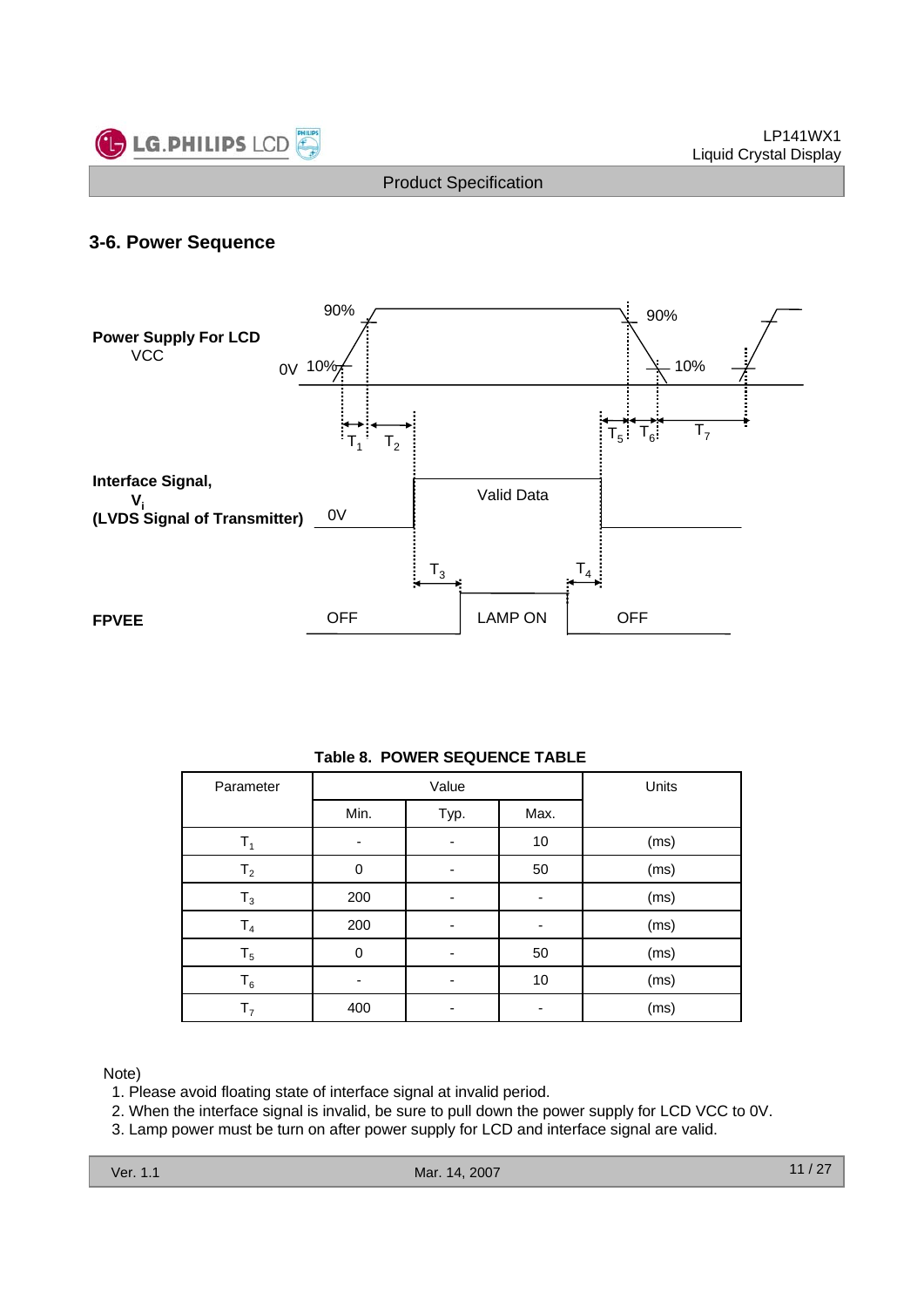

## **3-6. Power Sequence**



#### **Table 8. POWER SEQUENCE TABLE**

| Parameter      |          | Value        | Units |      |
|----------------|----------|--------------|-------|------|
|                | Min.     | Typ.<br>Max. |       |      |
| т,             |          |              | 10    | (ms) |
| T <sub>2</sub> | 0        |              | 50    | (ms) |
| $T_3$          | 200      |              | ۰     | (ms) |
| T <sub>4</sub> | 200      |              |       | (ms) |
| $T_5$          | $\Omega$ |              | 50    | (ms) |
| $\mathsf{T}_6$ |          |              | 10    | (ms) |
| T <sub>7</sub> | 400      |              |       | (ms) |

#### Note)

1. Please avoid floating state of interface signal at invalid period.

2. When the interface signal is invalid, be sure to pull down the power supply for LCD VCC to 0V.

3. Lamp power must be turn on after power supply for LCD and interface signal are valid.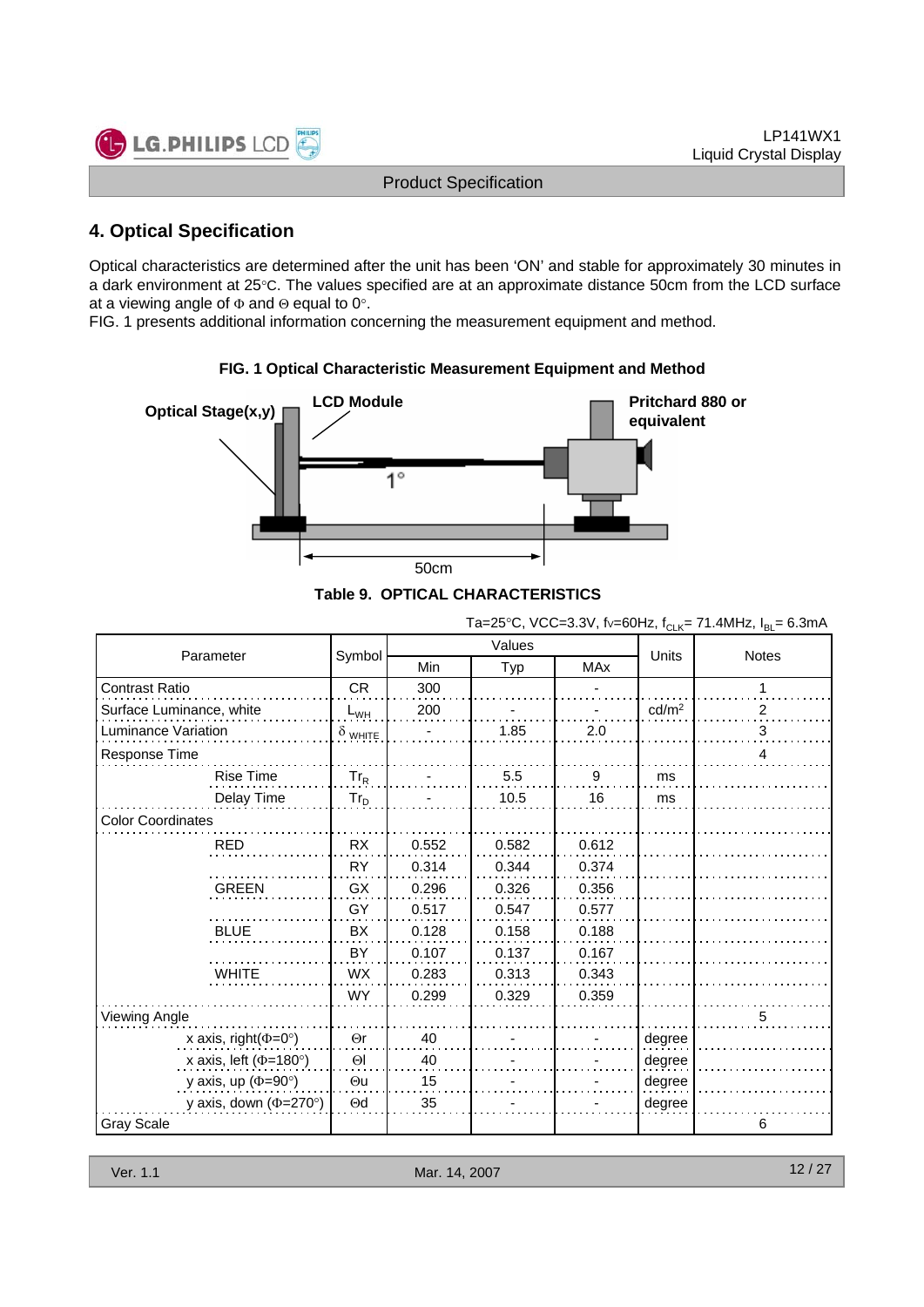

## **4. Optical Specification**

Optical characteristics are determined after the unit has been 'ON' and stable for approximately 30 minutes in a dark environment at 25°C. The values specified are at an approximate distance 50cm from the LCD surface at a viewing angle of Φ and Θ equal to 0°.

FIG. 1 presents additional information concerning the measurement equipment and method.



## **FIG. 1 Optical Characteristic Measurement Equipment and Method**

| Parameter                          |                |       | Values | <b>Units</b> | <b>Notes</b>      |   |
|------------------------------------|----------------|-------|--------|--------------|-------------------|---|
|                                    | Symbol         | Min   | Typ    | <b>MAx</b>   |                   |   |
| <b>Contrast Ratio</b>              | <b>CR</b>      | 300   |        |              |                   | 1 |
| Surface Luminance, white           | $L_{WH}$       | 200   |        |              | cd/m <sup>2</sup> | 2 |
| Luminance Variation                | $\delta$ white |       | 1.85   | 2.0          |                   | 3 |
| Response Time                      |                |       |        |              |                   | 4 |
| <b>Rise Time</b>                   | $Tr_R$         |       | 5.5    | 9            | ms                |   |
| Delay Time                         | $Tr_D$         |       | 10.5   | 16           | ms                |   |
| <b>Color Coordinates</b>           |                |       |        |              |                   |   |
| <b>RED</b>                         | <b>RX</b>      | 0.552 | 0.582  | 0.612        |                   |   |
|                                    | <b>RY</b>      | 0.314 | 0.344  | 0.374        |                   |   |
| <b>GREEN</b>                       | GX             | 0.296 | 0.326  | 0.356        |                   |   |
|                                    | GY             | 0.517 | 0.547  | 0.577        |                   |   |
| <b>BLUE</b>                        | BX             | 0.128 | 0.158  | 0.188        |                   |   |
|                                    | BY             | 0.107 | 0.137  | 0.167        |                   |   |
| <b>WHITE</b>                       | <b>WX</b>      | 0.283 | 0.313  | 0.343        |                   |   |
|                                    | <b>WY</b>      | 0.299 | 0.329  | 0.359        |                   |   |
| Viewing Angle                      |                |       |        |              |                   | 5 |
| x axis, right $(\Phi = 0^{\circ})$ | $\Theta$ r     | 40    |        |              | degree            |   |
| x axis, left ( $\Phi$ =180°)       | $\Theta$       | 40    |        |              | degree            |   |
| y axis, up ( $\Phi$ =90°)          | $\Theta$ u     | 15    |        |              | degree            |   |
| y axis, down ( $\Phi$ =270°)       | $\Theta$ d     | 35    |        |              | degree            |   |
| <b>Gray Scale</b>                  |                |       |        |              |                   | 6 |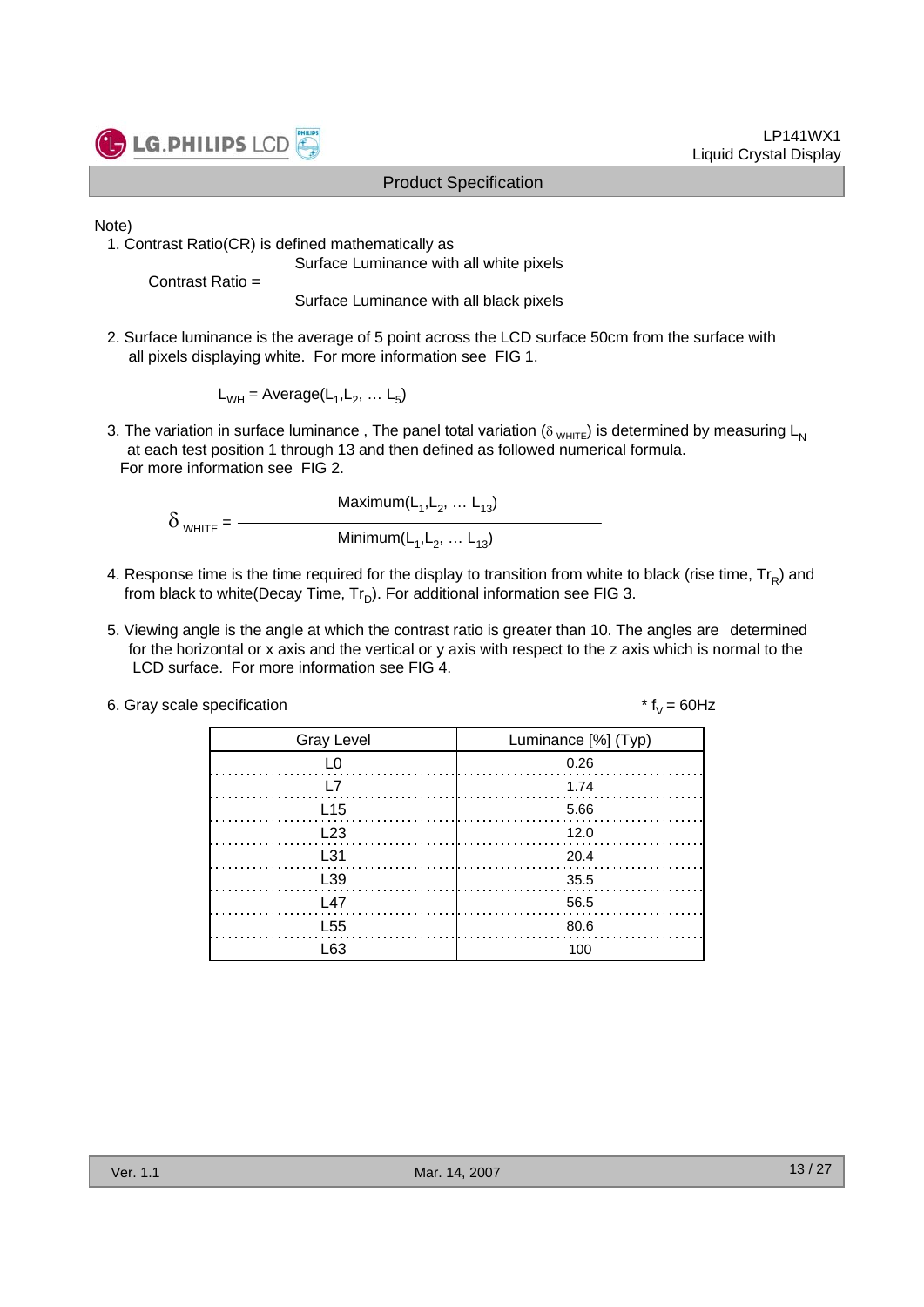

LP141WX1 Liquid Crystal Display

Note)

1. Contrast Ratio(CR) is defined mathematically as Surface Luminance with all white pixels

Contrast Ratio =

Surface Luminance with all black pixels

2. Surface luminance is the average of 5 point across the LCD surface 50cm from the surface with all pixels displaying white. For more information see FIG 1.

 $L_{WH}$  = Average( $L_1, L_2, \ldots L_5$ )

3. The variation in surface luminance, The panel total variation ( $\delta_{WHTE}$ ) is determined by measuring L<sub>N</sub> at each test position 1 through 13 and then defined as followed numerical formula. For more information see FIG 2.

 $Maximum(L_1, L_2, ... L_{13})$  $\delta$  white =  $-$ Minimum $(L_1, L_2, ... L_{13})$ 

- 4. Response time is the time required for the display to transition from white to black (rise time,  $Tr_B$ ) and from black to white(Decay Time,  $Tr_D$ ). For additional information see FIG 3.
- 5. Viewing angle is the angle at which the contrast ratio is greater than 10. The angles are determined for the horizontal or x axis and the vertical or y axis with respect to the z axis which is normal to the LCD surface. For more information see FIG 4.

| 6. Gray scale specification | * $f_v = 60$ Hz |
|-----------------------------|-----------------|
|-----------------------------|-----------------|

| <b>Gray Level</b> | Luminance [%] (Typ) |
|-------------------|---------------------|
| L0                | 0.26                |
| l 7               | 1.74                |
| L15               | 5.66                |
| L23               | 12.0                |
| L31               | - 20.4              |
| L39               | 35.5                |
| 147               | - 56.5              |
| L <sub>55</sub>   | 80.6                |
| l 63              | 100                 |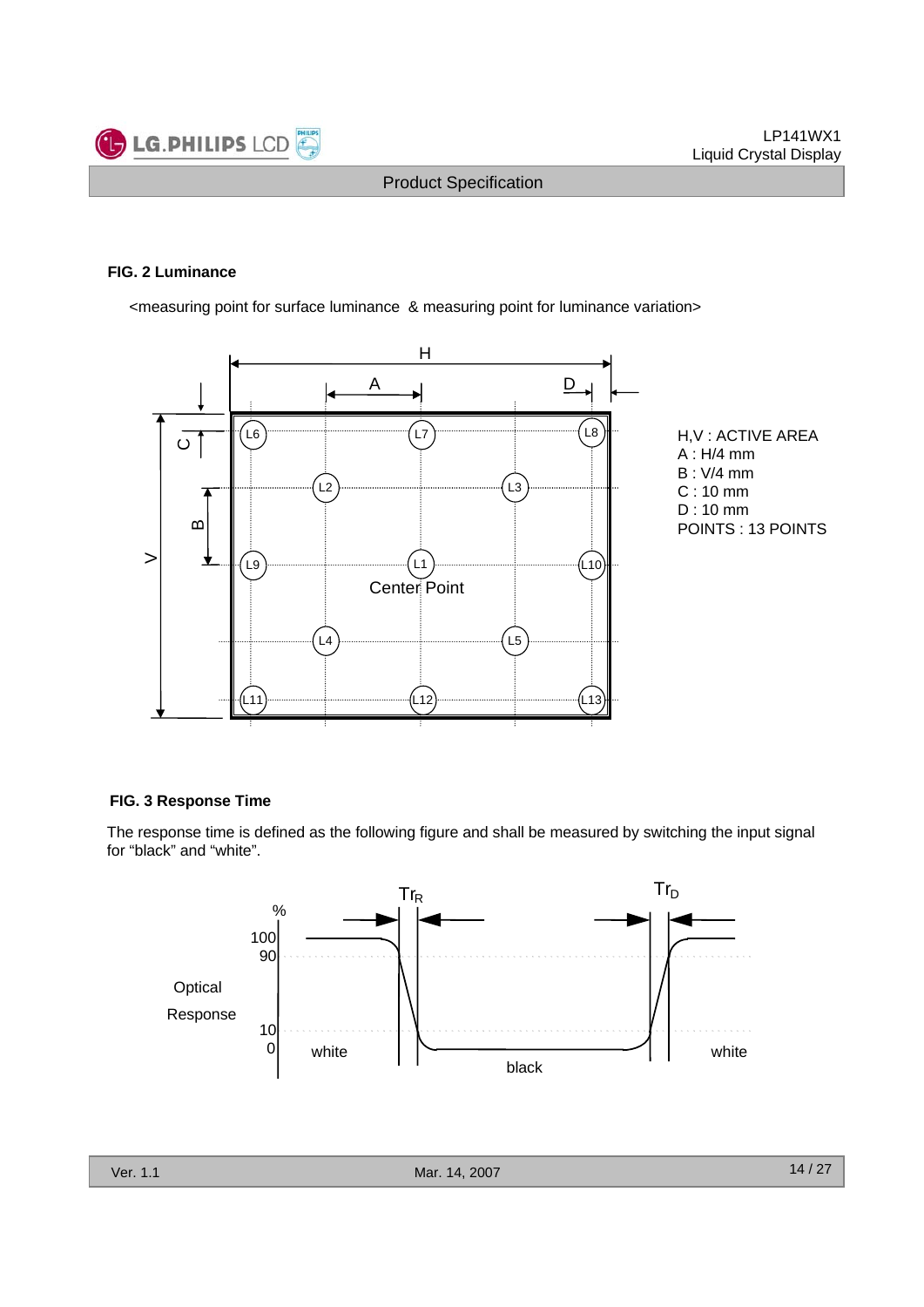

#### **FIG. 2 Luminance**

<measuring point for surface luminance & measuring point for luminance variation>





#### **FIG. 3 Response Time**

The response time is defined as the following figure and shall be measured by switching the input signal for "black" and "white".

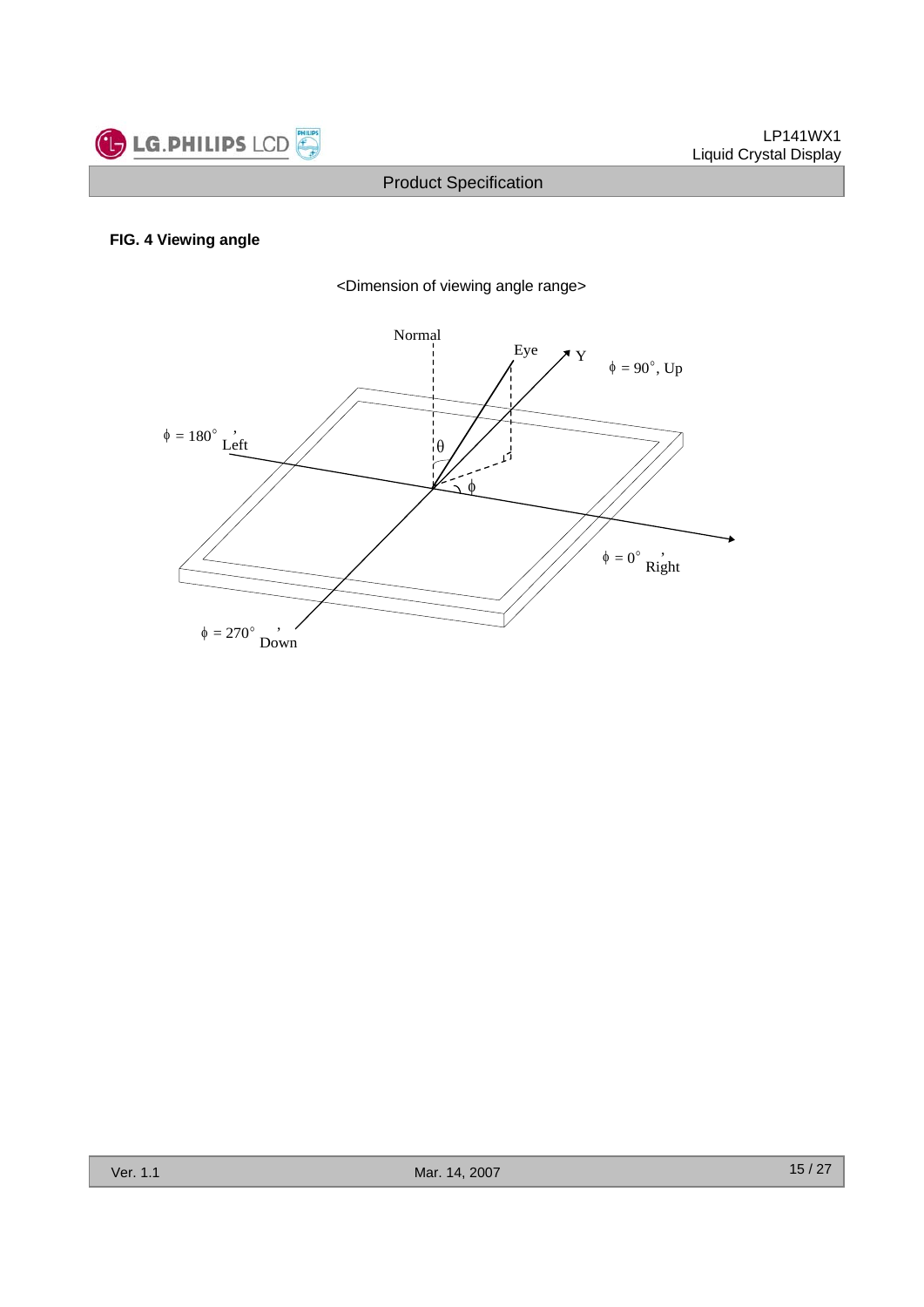

## **FIG. 4 Viewing angle**



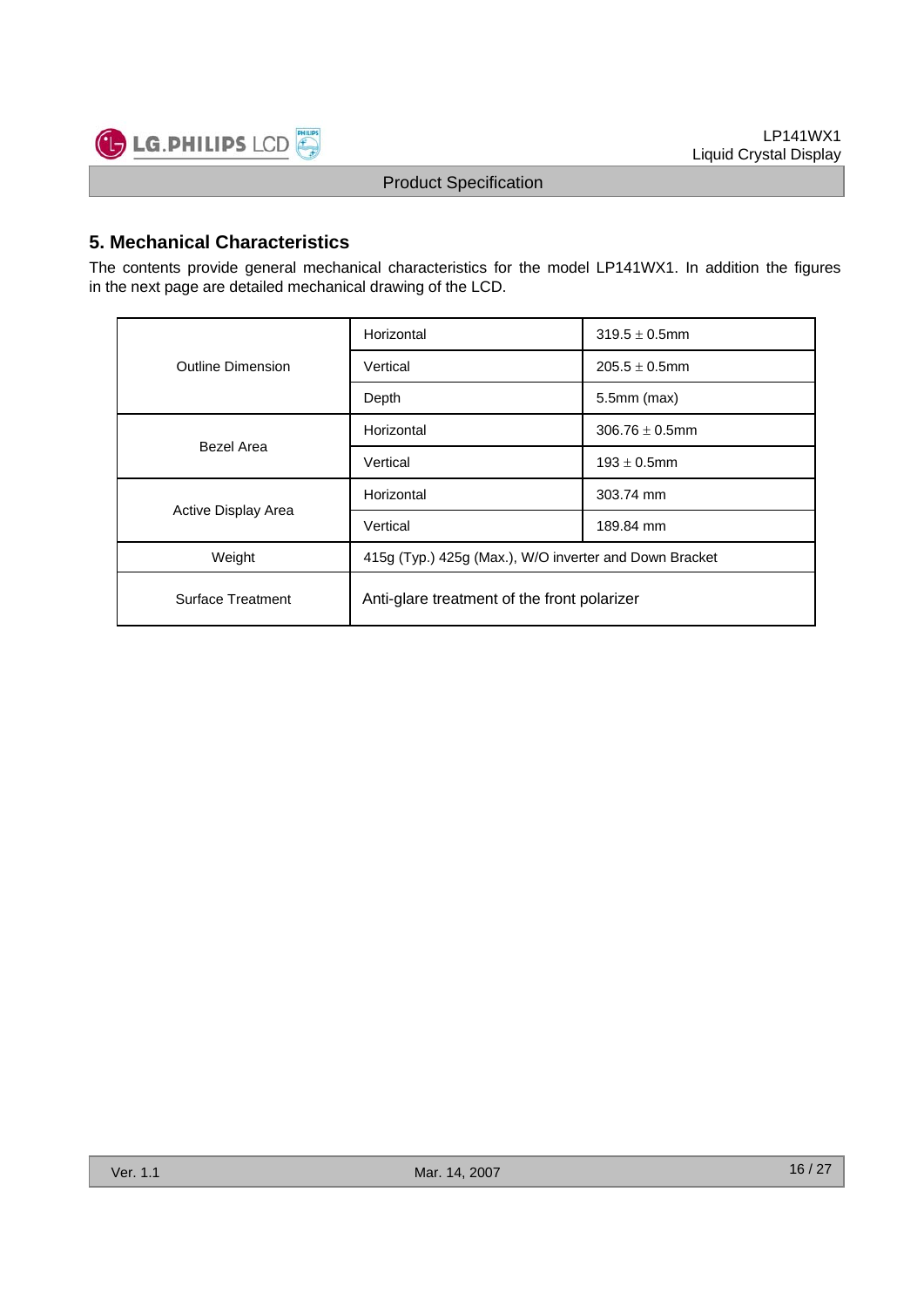

## **5. Mechanical Characteristics**

The contents provide general mechanical characteristics for the model LP141WX1. In addition the figures in the next page are detailed mechanical drawing of the LCD.

|                          | Horizontal                                             | $319.5 \pm 0.5$ mm  |  |  |  |
|--------------------------|--------------------------------------------------------|---------------------|--|--|--|
| <b>Outline Dimension</b> | Vertical                                               | $205.5 \pm 0.5$ mm  |  |  |  |
|                          | Depth                                                  | $5.5$ mm $(max)$    |  |  |  |
| Bezel Area               | Horizontal                                             | $306.76 \pm 0.5$ mm |  |  |  |
|                          | Vertical                                               | $193 \pm 0.5$ mm    |  |  |  |
|                          | Horizontal                                             | 303.74 mm           |  |  |  |
| Active Display Area      | Vertical                                               | 189.84 mm           |  |  |  |
| Weight                   | 415g (Typ.) 425g (Max.), W/O inverter and Down Bracket |                     |  |  |  |
| Surface Treatment        | Anti-glare treatment of the front polarizer            |                     |  |  |  |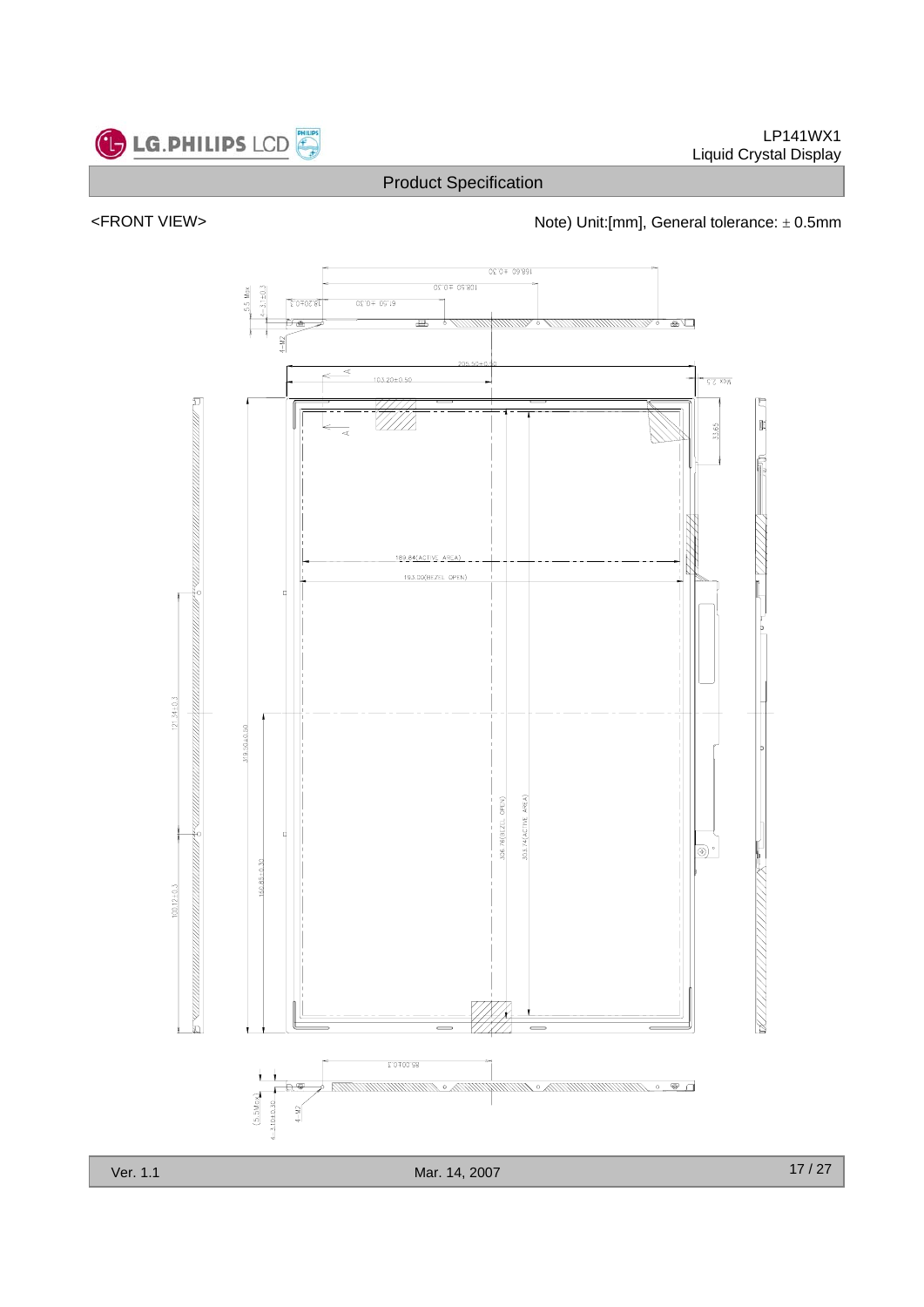



<FRONT VIEW> <http://www.frach.com/hote) Unit:[mm], General tolerance: ± 0.5mm



17 / 27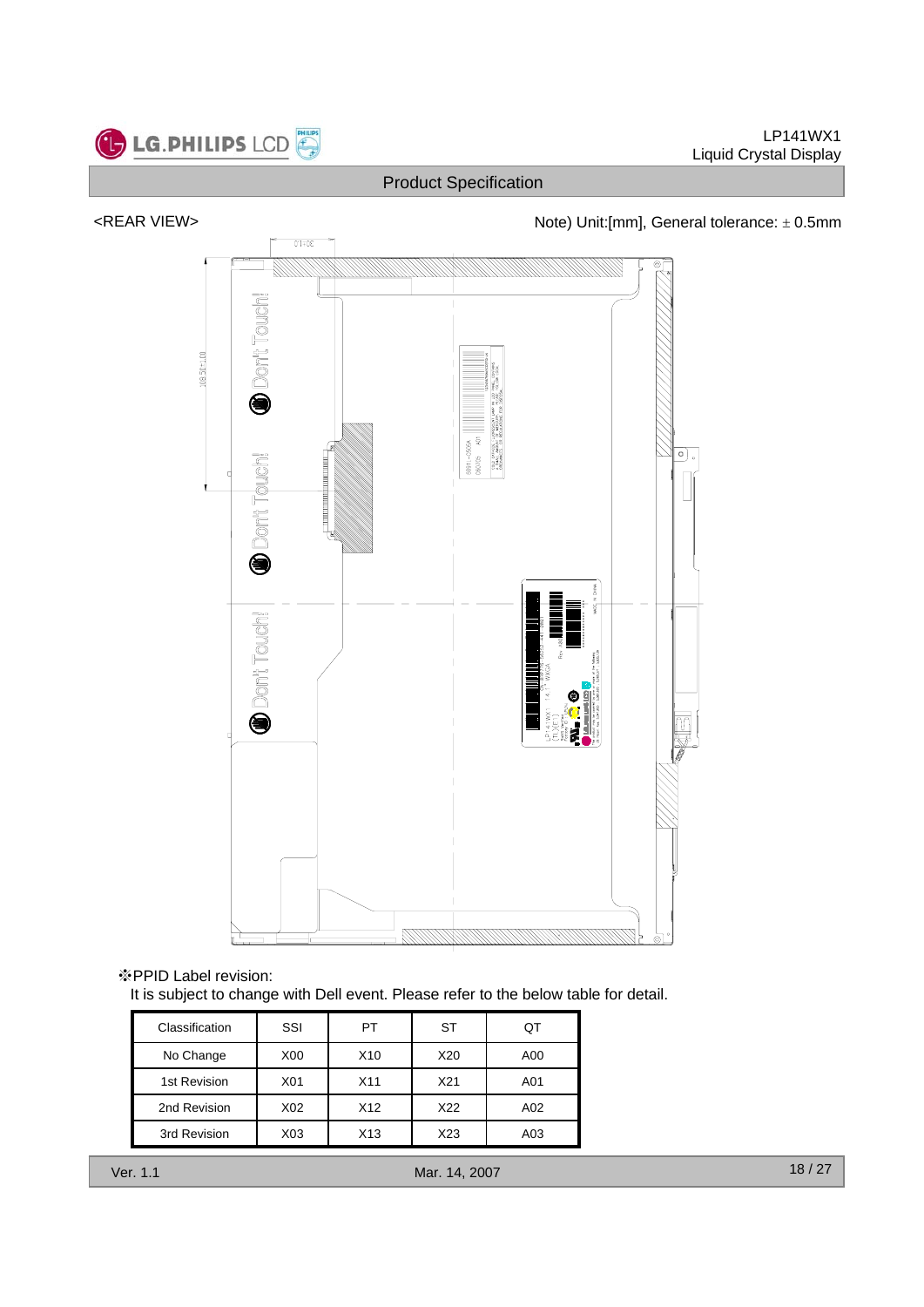

LP141WX1 Liquid Crystal Display

## Product Specification



※PPID Label revision:

It is subject to change with Dell event. Please refer to the below table for detail.

| Classification | SSI | РT  | ST  |     |
|----------------|-----|-----|-----|-----|
| No Change      | X00 | X10 | X20 | A00 |
| 1st Revision   | X01 | X11 | X21 | A01 |
| 2nd Revision   | X02 | X12 | X22 | A02 |
| 3rd Revision   | X03 | X13 | X23 | A03 |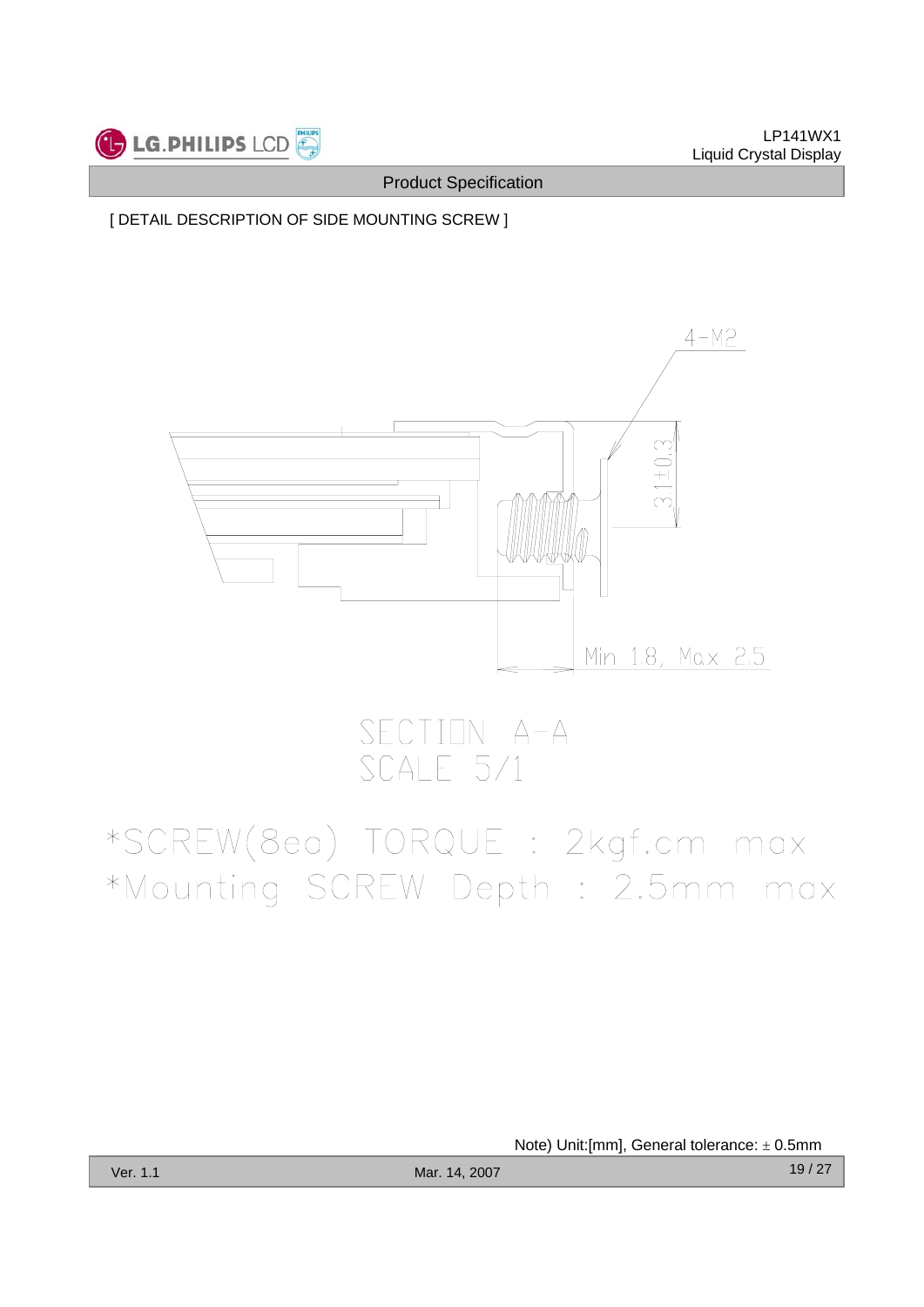

[ DETAIL DESCRIPTION OF SIDE MOUNTING SCREW ]



SECTION A-A<br>SCALE 5/1

# \*SCREW(8ea) TORQUE : 2kgf.cm max \*Mounting SCREW Depth : 2.5mm max

Note) Unit:[mm], General tolerance: ± 0.5mm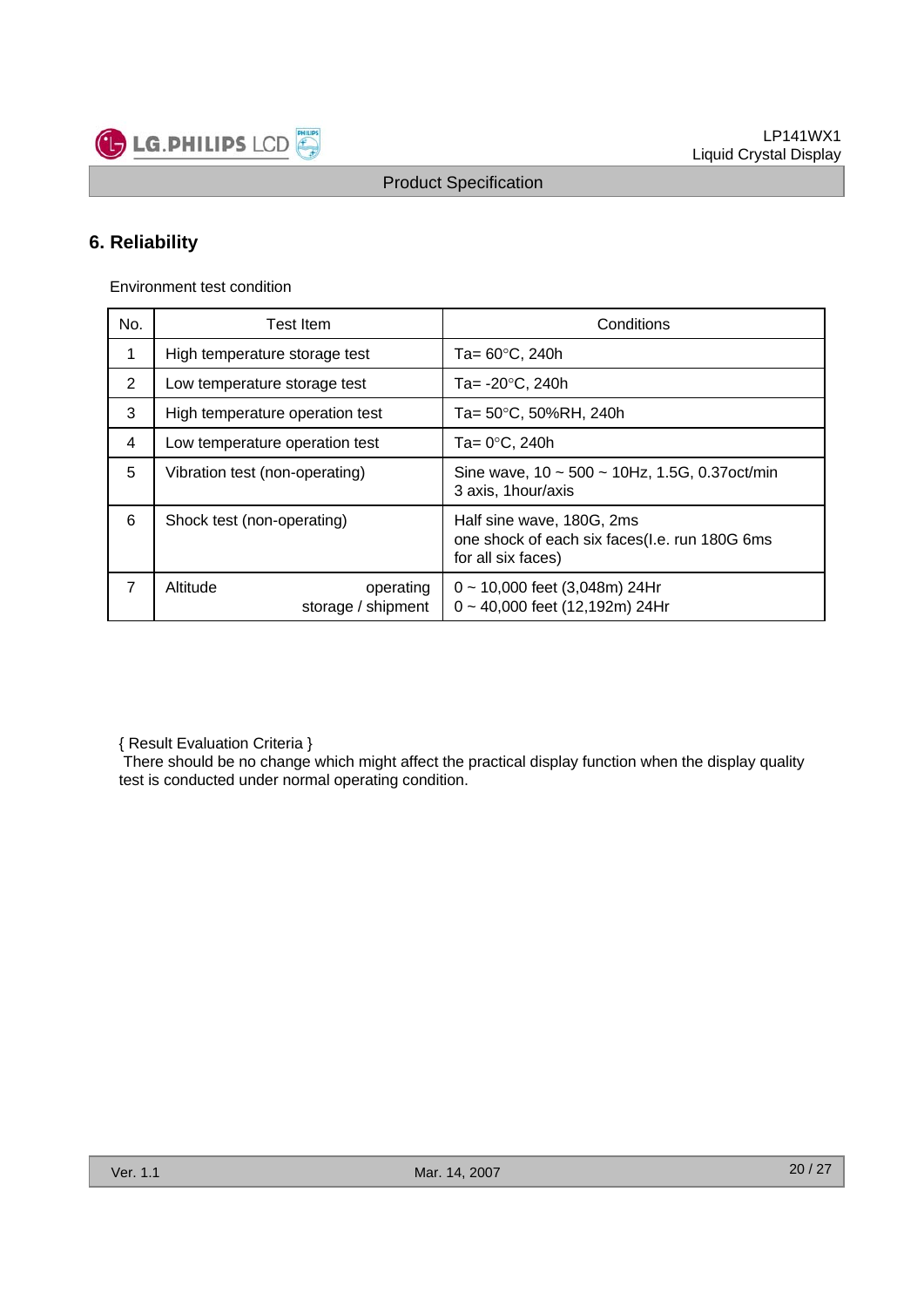

## **6. Reliability**

Environment test condition

| No.         | Test Item                                   | Conditions                                                                                       |  |  |  |  |
|-------------|---------------------------------------------|--------------------------------------------------------------------------------------------------|--|--|--|--|
| $\mathbf 1$ | High temperature storage test               | Ta= $60^{\circ}$ C, 240h                                                                         |  |  |  |  |
| 2           | Low temperature storage test                | Ta= $-20^{\circ}$ C, 240h                                                                        |  |  |  |  |
| 3           | High temperature operation test             | Ta= 50°C, 50%RH, 240h                                                                            |  |  |  |  |
| 4           | Low temperature operation test              | Ta= $0^{\circ}$ C, 240h                                                                          |  |  |  |  |
| 5           | Vibration test (non-operating)              | Sine wave, $10 \sim 500 \sim 10$ Hz, 1.5G, 0.37 oct/min<br>3 axis, 1 hour/axis                   |  |  |  |  |
| 6           | Shock test (non-operating)                  | Half sine wave, 180G, 2ms<br>one shock of each six faces(I.e. run 180G 6ms<br>for all six faces) |  |  |  |  |
| 7           | Altitude<br>operating<br>storage / shipment | $0 \sim 10,000$ feet (3,048m) 24Hr<br>0~40,000 feet (12,192m) 24Hr                               |  |  |  |  |

{ Result Evaluation Criteria }

There should be no change which might affect the practical display function when the display quality test is conducted under normal operating condition.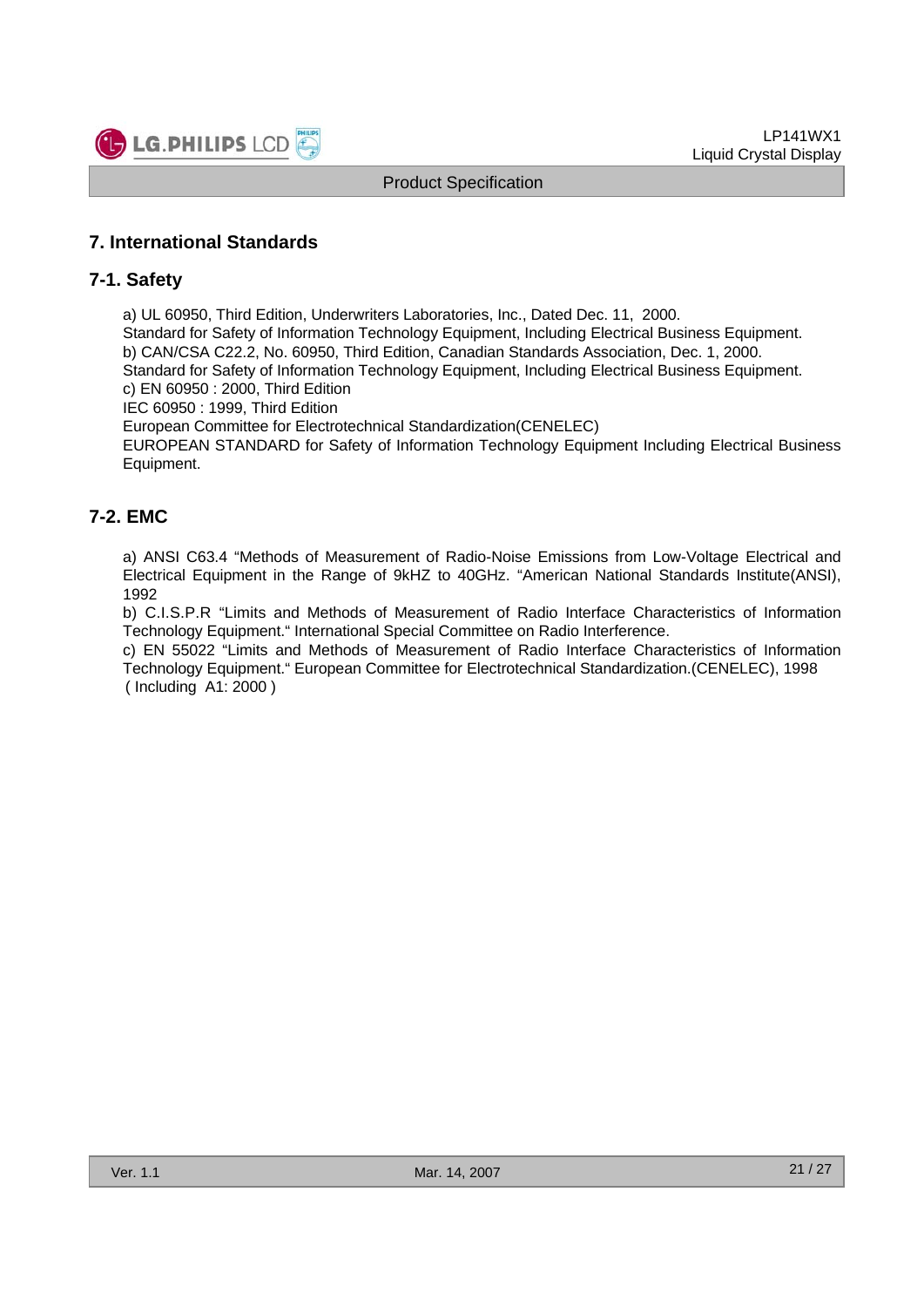

## **7. International Standards**

### **7-1. Safety**

a) UL 60950, Third Edition, Underwriters Laboratories, Inc., Dated Dec. 11, 2000.

Standard for Safety of Information Technology Equipment, Including Electrical Business Equipment. b) CAN/CSA C22.2, No. 60950, Third Edition, Canadian Standards Association, Dec. 1, 2000. Standard for Safety of Information Technology Equipment, Including Electrical Business Equipment.

c) EN 60950 : 2000, Third Edition

IEC 60950 : 1999, Third Edition

European Committee for Electrotechnical Standardization(CENELEC)

EUROPEAN STANDARD for Safety of Information Technology Equipment Including Electrical Business Equipment.

## **7-2. EMC**

a) ANSI C63.4 "Methods of Measurement of Radio-Noise Emissions from Low-Voltage Electrical and Electrical Equipment in the Range of 9kHZ to 40GHz. "American National Standards Institute(ANSI), 1992

b) C.I.S.P.R "Limits and Methods of Measurement of Radio Interface Characteristics of Information Technology Equipment." International Special Committee on Radio Interference.

c) EN 55022 "Limits and Methods of Measurement of Radio Interface Characteristics of Information Technology Equipment." European Committee for Electrotechnical Standardization.(CENELEC), 1998 ( Including A1: 2000 )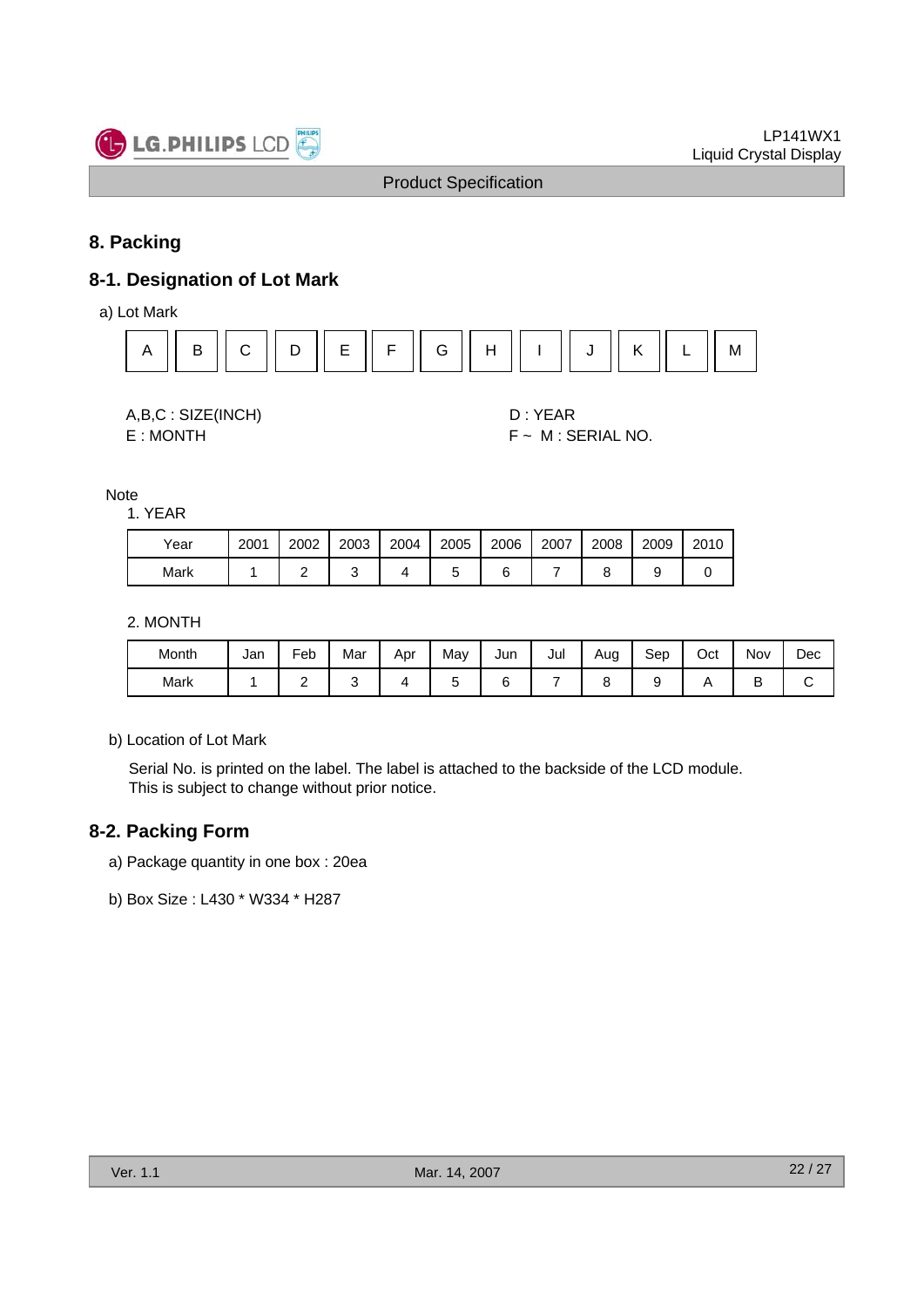

## **8. Packing**

## **8-1. Designation of Lot Mark**

a) Lot Mark



A,B,C : SIZE(INCH) D : YEAR

 $E : MONTH$   $F ~ M : SERIAL NO.$ 

Note

1. YEAR

| Year | 2001 | 2002 | 2003 | 2004 | 2005 | 2006 | 2007 | 2008 | 2009 | 2010 |
|------|------|------|------|------|------|------|------|------|------|------|
| Mark |      |      |      |      |      |      |      |      |      |      |

2. MONTH

| Month | Jan | -<br>Feb | Mar | Apr | May | Jun | Jul | Aug | Sep | Oct | Nov | Dec |
|-------|-----|----------|-----|-----|-----|-----|-----|-----|-----|-----|-----|-----|
| Mark  |     | -        |     |     |     |     |     |     |     |     | ╺   |     |

b) Location of Lot Mark

Serial No. is printed on the label. The label is attached to the backside of the LCD module. This is subject to change without prior notice.

## **8-2. Packing Form**

- a) Package quantity in one box : 20ea
- b) Box Size : L430 \* W334 \* H287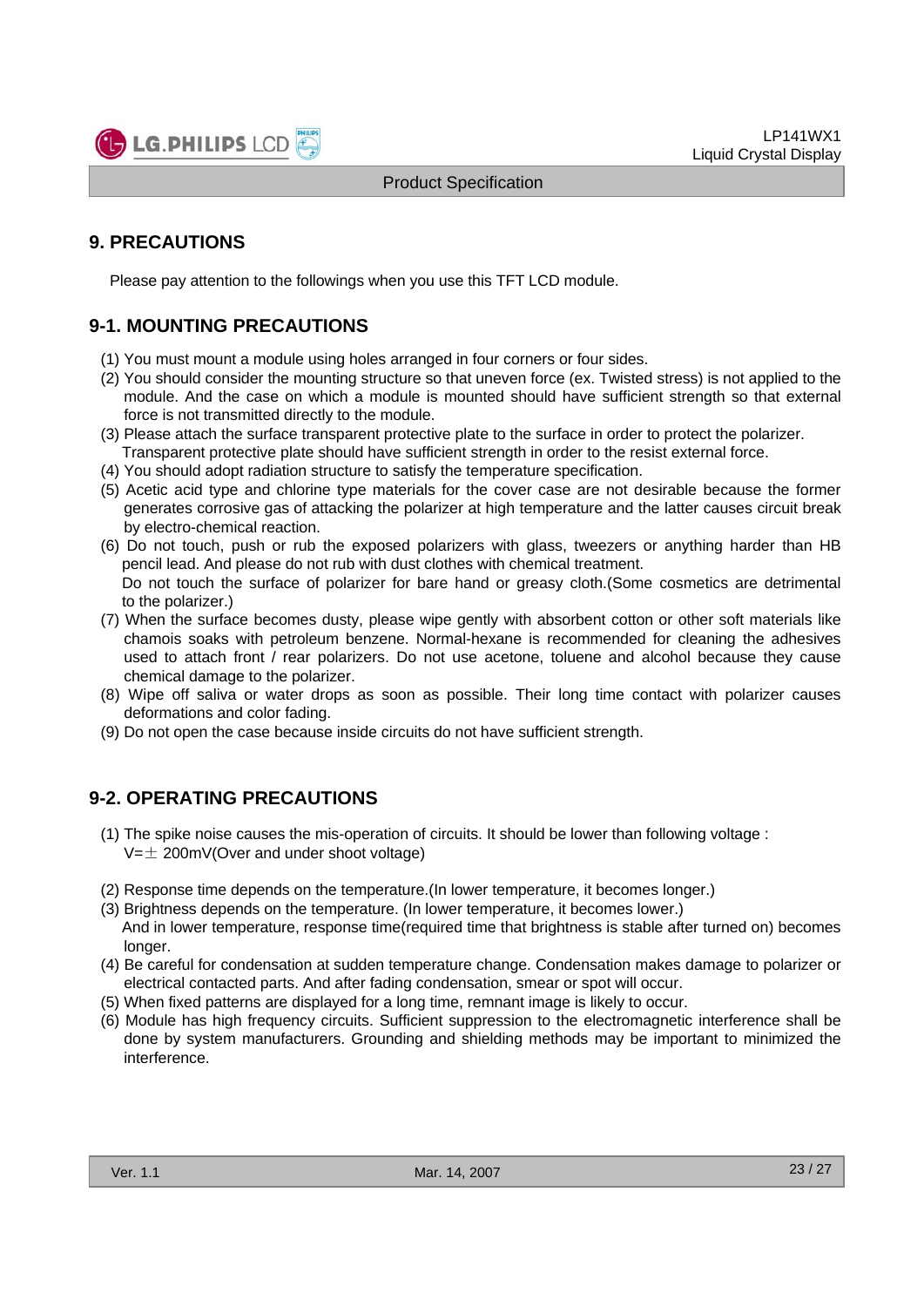

## **9. PRECAUTIONS**

Please pay attention to the followings when you use this TFT LCD module.

## **9-1. MOUNTING PRECAUTIONS**

- (1) You must mount a module using holes arranged in four corners or four sides.
- (2) You should consider the mounting structure so that uneven force (ex. Twisted stress) is not applied to the module. And the case on which a module is mounted should have sufficient strength so that external force is not transmitted directly to the module.
- (3) Please attach the surface transparent protective plate to the surface in order to protect the polarizer. Transparent protective plate should have sufficient strength in order to the resist external force.
- (4) You should adopt radiation structure to satisfy the temperature specification.
- (5) Acetic acid type and chlorine type materials for the cover case are not desirable because the former generates corrosive gas of attacking the polarizer at high temperature and the latter causes circuit break by electro-chemical reaction.
- (6) Do not touch, push or rub the exposed polarizers with glass, tweezers or anything harder than HB pencil lead. And please do not rub with dust clothes with chemical treatment. Do not touch the surface of polarizer for bare hand or greasy cloth.(Some cosmetics are detrimental
- to the polarizer.) (7) When the surface becomes dusty, please wipe gently with absorbent cotton or other soft materials like
- chamois soaks with petroleum benzene. Normal-hexane is recommended for cleaning the adhesives used to attach front / rear polarizers. Do not use acetone, toluene and alcohol because they cause chemical damage to the polarizer.
- (8) Wipe off saliva or water drops as soon as possible. Their long time contact with polarizer causes deformations and color fading.
- (9) Do not open the case because inside circuits do not have sufficient strength.

## **9-2. OPERATING PRECAUTIONS**

- (1) The spike noise causes the mis-operation of circuits. It should be lower than following voltage :  $V=\pm 200$ mV(Over and under shoot voltage)
- (2) Response time depends on the temperature.(In lower temperature, it becomes longer.)
- (3) Brightness depends on the temperature. (In lower temperature, it becomes lower.) And in lower temperature, response time(required time that brightness is stable after turned on) becomes longer.
- (4) Be careful for condensation at sudden temperature change. Condensation makes damage to polarizer or electrical contacted parts. And after fading condensation, smear or spot will occur.
- (5) When fixed patterns are displayed for a long time, remnant image is likely to occur.
- (6) Module has high frequency circuits. Sufficient suppression to the electromagnetic interference shall be done by system manufacturers. Grounding and shielding methods may be important to minimized the interference.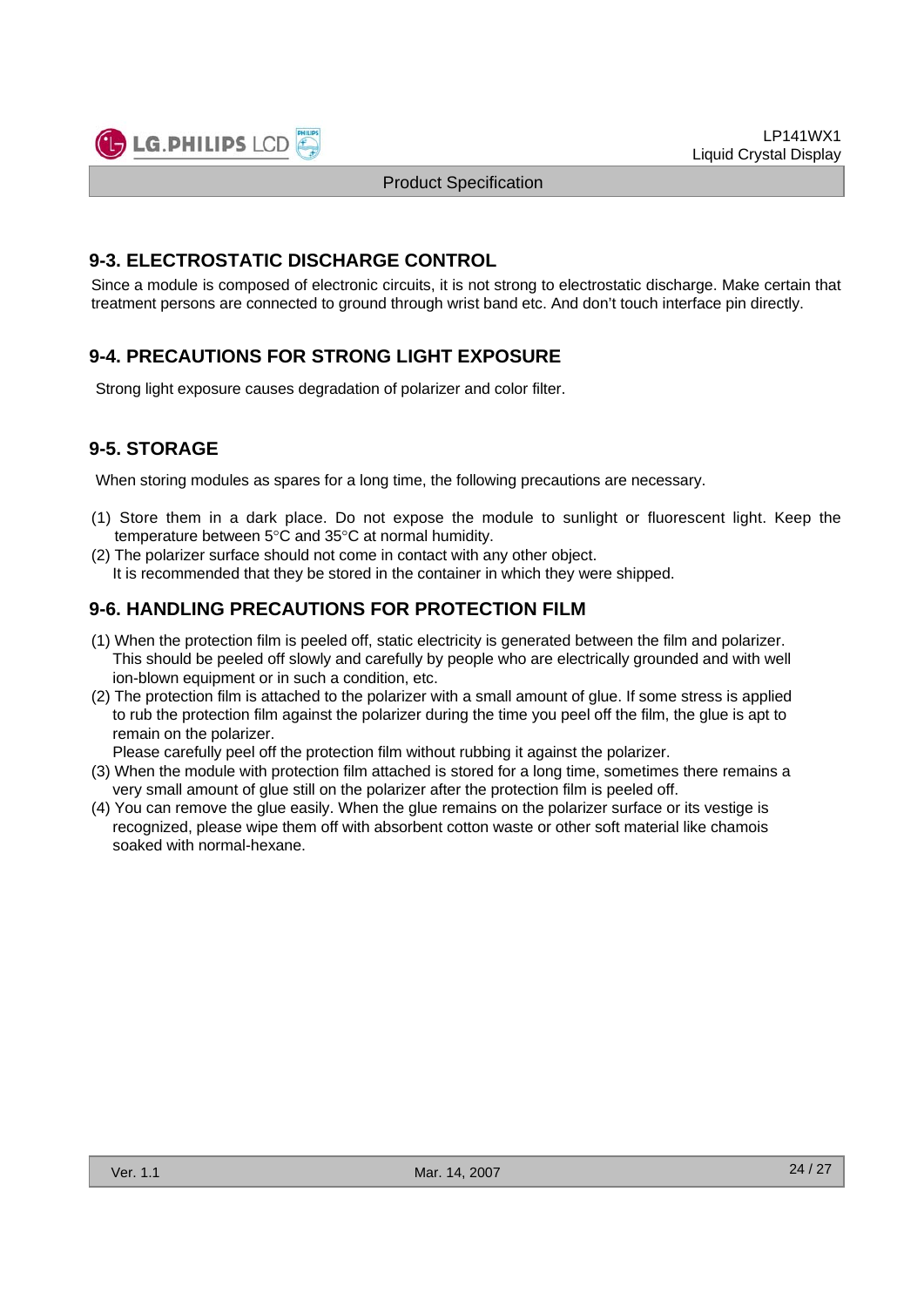

Liquid Crystal Display

LP141WX1

## **9-3. ELECTROSTATIC DISCHARGE CONTROL**

Since a module is composed of electronic circuits, it is not strong to electrostatic discharge. Make certain that treatment persons are connected to ground through wrist band etc. And don't touch interface pin directly.

Product Specification

## **9-4. PRECAUTIONS FOR STRONG LIGHT EXPOSURE**

Strong light exposure causes degradation of polarizer and color filter.

## **9-5. STORAGE**

When storing modules as spares for a long time, the following precautions are necessary.

- (1) Store them in a dark place. Do not expose the module to sunlight or fluorescent light. Keep the temperature between 5°C and 35°C at normal humidity.
- (2) The polarizer surface should not come in contact with any other object. It is recommended that they be stored in the container in which they were shipped.

## **9-6. HANDLING PRECAUTIONS FOR PROTECTION FILM**

- (1) When the protection film is peeled off, static electricity is generated between the film and polarizer. This should be peeled off slowly and carefully by people who are electrically grounded and with well ion-blown equipment or in such a condition, etc.
- (2) The protection film is attached to the polarizer with a small amount of glue. If some stress is applied to rub the protection film against the polarizer during the time you peel off the film, the glue is apt to remain on the polarizer.

Please carefully peel off the protection film without rubbing it against the polarizer.

- (3) When the module with protection film attached is stored for a long time, sometimes there remains a very small amount of glue still on the polarizer after the protection film is peeled off.
- (4) You can remove the glue easily. When the glue remains on the polarizer surface or its vestige is recognized, please wipe them off with absorbent cotton waste or other soft material like chamois soaked with normal-hexane.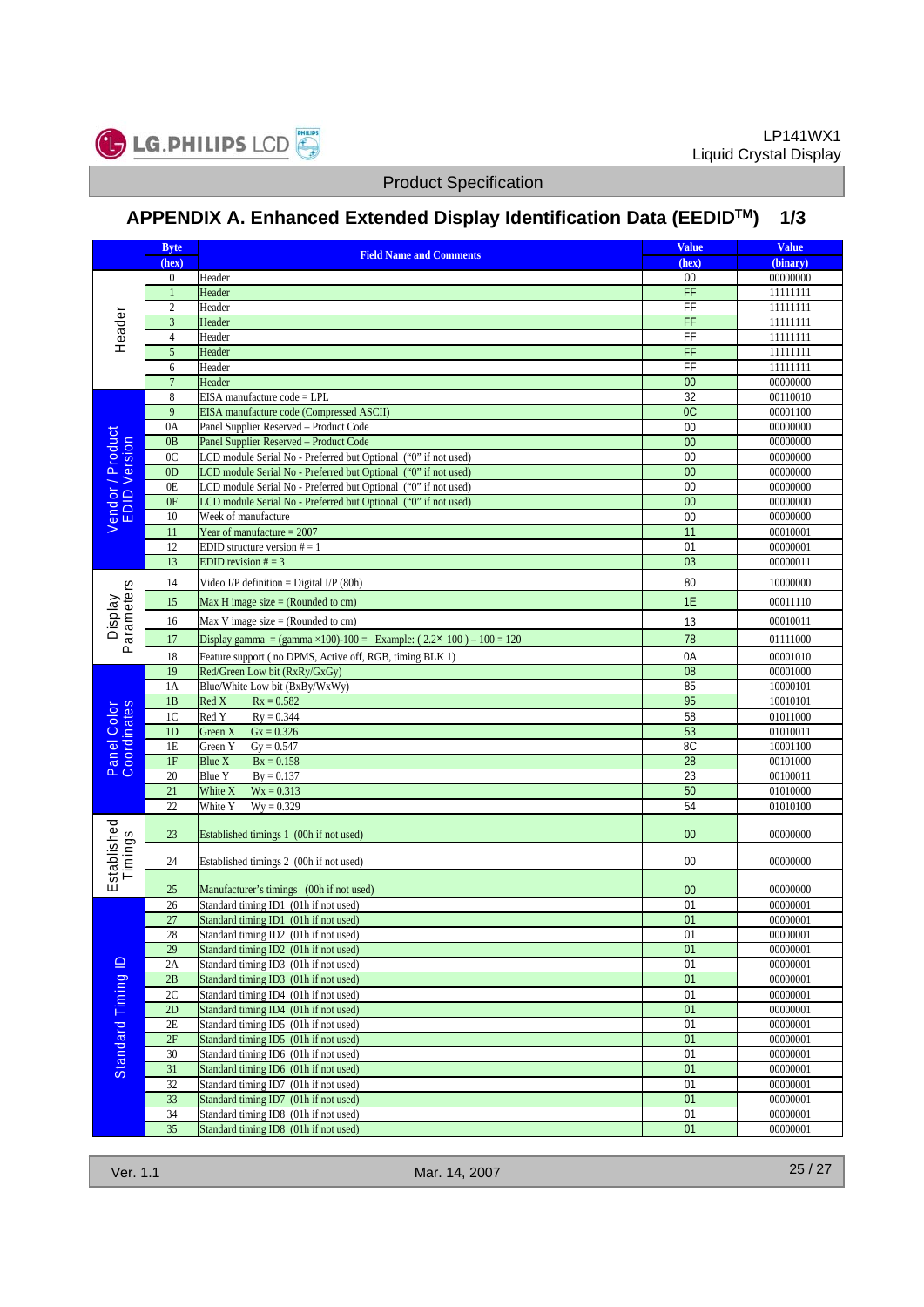

# **APPENDIX A. Enhanced Extended Display Identification Data (EEDIDTM) 1/3**

|                                  | <b>Byte</b>                    | <b>Field Name and Comments</b>                                                                                                     | <b>Value</b>          | <b>Value</b>         |
|----------------------------------|--------------------------------|------------------------------------------------------------------------------------------------------------------------------------|-----------------------|----------------------|
|                                  | (hex)                          |                                                                                                                                    | (hex)                 | (binary)             |
|                                  | $\boldsymbol{0}$               | Header                                                                                                                             | 00                    | 00000000             |
|                                  | $\mathbf{1}$<br>$\overline{c}$ | Header<br>Header                                                                                                                   | FF<br>FF              | 11111111<br>11111111 |
|                                  | 3                              | Header                                                                                                                             | FF                    | 11111111             |
| Header                           | $\overline{4}$                 | Header                                                                                                                             | $\overline{F}$        | 11111111             |
|                                  | 5                              | Header                                                                                                                             | FF                    | 11111111             |
|                                  | 6                              | Header                                                                                                                             | FF                    | 11111111             |
|                                  | $\overline{7}$                 | Header                                                                                                                             | $\overline{00}$       | 00000000             |
|                                  | 8                              | EISA manufacture code = LPL                                                                                                        | 32                    | 00110010             |
|                                  | 9                              | EISA manufacture code (Compressed ASCII)                                                                                           | OC                    | 00001100             |
|                                  | 0A                             | Panel Supplier Reserved - Product Code                                                                                             | 00                    | 00000000             |
| Vendor / Product<br>EDID Version | 0B                             | Panel Supplier Reserved - Product Code                                                                                             | $\overline{00}$       | 00000000             |
|                                  | 0 <sup>C</sup>                 | LCD module Serial No - Preferred but Optional ("0" if not used)                                                                    | 00                    | 00000000             |
|                                  | 0 <sub>D</sub><br>0E           | LCD module Serial No - Preferred but Optional ("0" if not used)                                                                    | 00<br>$\overline{00}$ | 00000000<br>00000000 |
|                                  | 0F                             | LCD module Serial No - Preferred but Optional ("0" if not used)<br>LCD module Serial No - Preferred but Optional ("0" if not used) | 00                    | 00000000             |
|                                  | 10                             | Week of manufacture                                                                                                                | $\overline{00}$       | 00000000             |
|                                  | 11                             | Year of manufacture $= 2007$                                                                                                       | 11                    | 00010001             |
|                                  | 12                             | EDID structure version $# = 1$                                                                                                     | 01                    | 00000001             |
|                                  | 13                             | EDID revision $# = 3$                                                                                                              | 03                    | 00000011             |
|                                  | 14                             | Video I/P definition = Digital I/P $(80h)$                                                                                         | 80                    | 10000000             |
| Parameters                       | 15                             | Max H image size $=$ (Rounded to cm)                                                                                               | 1E                    | 00011110             |
| <b>Display</b>                   | 16                             | Max V image size $=$ (Rounded to cm)                                                                                               | 13                    | 00010011             |
|                                  | 17                             | Display gamma = (gamma $\times$ 100)-100 = Example: (2.2 $\times$ 100) – 100 = 120                                                 | 78                    | 01111000             |
|                                  | 18                             | Feature support (no DPMS, Active off, RGB, timing BLK 1)                                                                           | 0A                    | 00001010             |
|                                  | 19                             | Red/Green Low bit (RxRy/GxGy)                                                                                                      | 08                    | 00001000             |
|                                  | 1A                             | Blue/White Low bit (BxBy/WxWy)                                                                                                     | 85                    | 10000101             |
|                                  | 1B                             | Red X<br>$Rx = 0.582$                                                                                                              | 95                    | 10010101             |
|                                  | 1 <sup>C</sup>                 | Red Y<br>$Ry = 0.344$                                                                                                              | 58                    | 01011000             |
| Panel Color<br>Coordinates       | 1D                             | Green X<br>$Gx = 0.326$                                                                                                            | 53                    | 01010011             |
|                                  | 1E                             | $Gy = 0.547$<br>Green Y                                                                                                            | 8C                    | 10001100             |
|                                  | 1F<br>20                       | Blue X<br>$Bx = 0.158$                                                                                                             | 28<br>23              | 00101000             |
|                                  | 21                             | Blue Y<br>$By = 0.137$<br>$Wx = 0.313$<br>White X                                                                                  | 50                    | 00100011<br>01010000 |
|                                  | 22                             | White Y<br>$Wy = 0.329$                                                                                                            | 54                    | 01010100             |
|                                  | 23                             | Established timings 1 (00h if not used)                                                                                            | 00                    | 00000000             |
| stablished<br>Timings            | 24                             | Established timings 2 (00h if not used)                                                                                            | 00                    | 00000000             |
| ш                                | 25                             | Manufacturer's timings (00h if not used)                                                                                           | 00                    | 00000000             |
|                                  | 26                             | Standard timing ID1 (01h if not used)                                                                                              | 01                    | 00000001             |
|                                  | 27                             | Standard timing ID1 (01h if not used)                                                                                              | 01                    | 00000001             |
|                                  | 28                             | Standard timing ID2 (01h if not used)                                                                                              | 01                    | 00000001             |
|                                  | 29                             | Standard timing ID2 (01h if not used)                                                                                              | 01                    | 00000001             |
|                                  | 2A                             | Standard timing ID3 (01h if not used)                                                                                              | 01                    | 00000001             |
|                                  | 2B                             | Standard timing ID3 (01h if not used)                                                                                              | 01                    | 00000001             |
|                                  | 2C                             | Standard timing ID4 (01h if not used)                                                                                              | 01                    | 00000001             |
|                                  | 2D                             | Standard timing ID4 (01h if not used)                                                                                              | 01                    | 00000001             |
|                                  | 2E<br>2F                       | Standard timing ID5 (01h if not used)<br>Standard timing ID5 (01h if not used)                                                     | 01<br>01              | 00000001<br>00000001 |
| Standard Timing ID               | 30                             | Standard timing ID6 (01h if not used)                                                                                              | 01                    | 00000001             |
|                                  | $31\,$                         | Standard timing ID6 (01h if not used)                                                                                              | 01                    | 00000001             |
|                                  | 32                             | Standard timing ID7 (01h if not used)                                                                                              | 01                    | 00000001             |
|                                  | 33                             | Standard timing ID7 (01h if not used)                                                                                              | 01                    | 00000001             |
|                                  | 34                             | Standard timing ID8 (01h if not used)                                                                                              | 01                    | 00000001             |
|                                  | 35                             | Standard timing ID8 (01h if not used)                                                                                              | 01                    | 00000001             |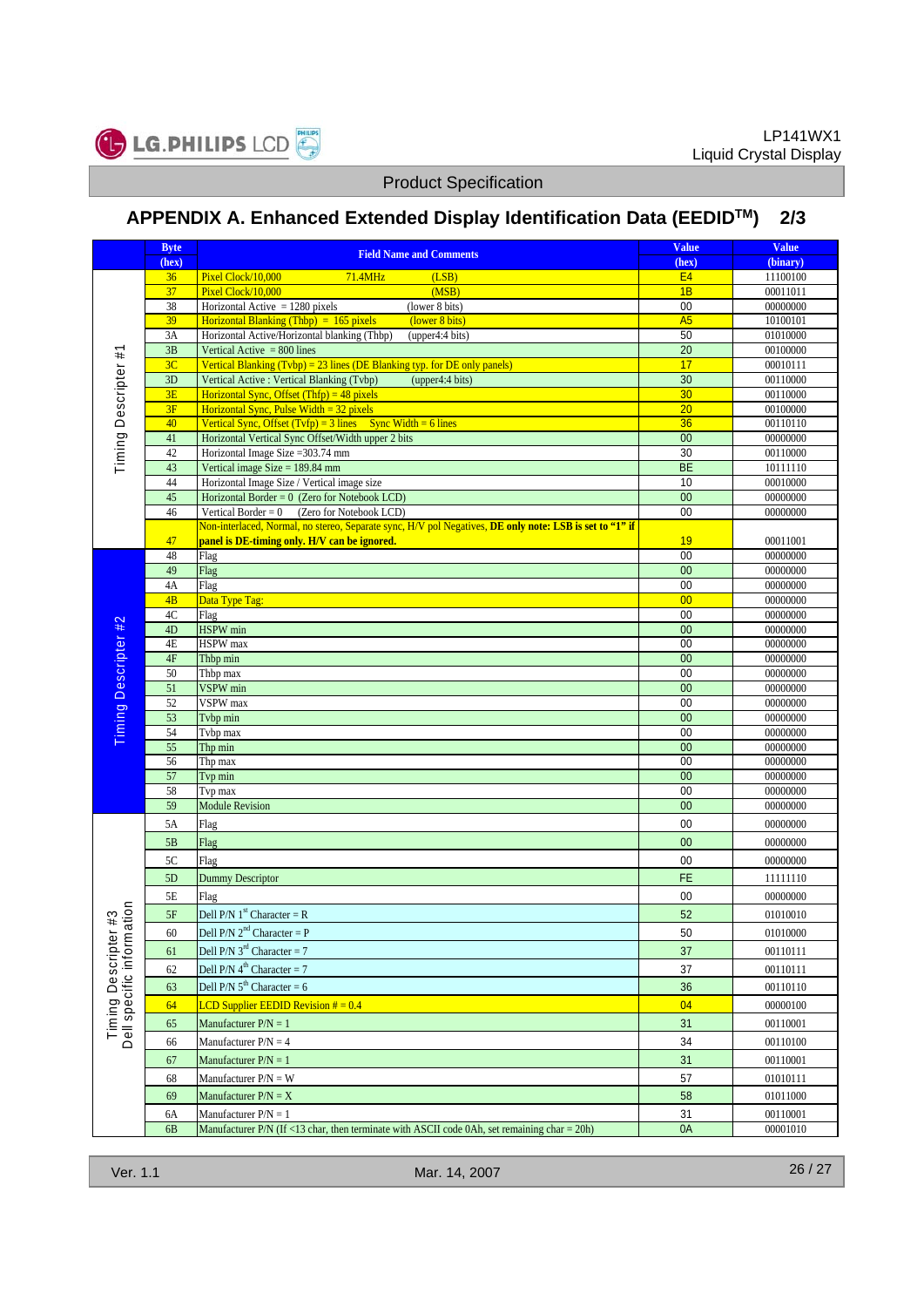

# **APPENDIX A. Enhanced Extended Display Identification Data (EEDIDTM) 2/3**

|                                           | <b>Byte</b>    | <b>Field Name and Comments</b>                                                                                     | <b>Value</b>          | <b>Value</b>         |
|-------------------------------------------|----------------|--------------------------------------------------------------------------------------------------------------------|-----------------------|----------------------|
|                                           | (hex)          |                                                                                                                    | (hex)                 | (binary)             |
|                                           | 36             | Pixel Clock/10,000<br>71.4MHz<br>(LSB)                                                                             | E4                    | 11100100             |
|                                           | 37             | Pixel Clock/10,000<br>(MSB)                                                                                        | 1B                    | 00011011             |
|                                           | 38<br>39       | Horizontal Active $= 1280$ pixels<br>(lower 8 bits)<br>Horizontal Blanking (Thbp) = $165$ pixels<br>(lower 8 bits) | 00<br>A5              | 00000000<br>10100101 |
|                                           | 3A             | Horizontal Active/Horizontal blanking (Thbp)<br>(upper4:4 bits)                                                    | 50                    | 01010000             |
|                                           | 3B             | Vertical Active $= 800$ lines                                                                                      | $\overline{20}$       | 00100000             |
|                                           | 3C             | Vertical Blanking $(Tvbp) = 23$ lines (DE Blanking typ. for DE only panels)                                        | 17                    | 00010111             |
| Timing Descripter #1                      | 3D             | Vertical Active : Vertical Blanking (Tvbp)<br>(upper4:4 bits)                                                      | 30                    | 00110000             |
|                                           | 3E             | Horizontal Sync, Offset (Thfp) = $48$ pixels                                                                       | 30                    | 00110000             |
|                                           | 3F             | Horizontal Sync, Pulse Width = $32$ pixels                                                                         | 20                    | 00100000             |
|                                           | 40             | Vertical Sync, Offset $(Tvfp) = 3$ lines Sync Width = 6 lines                                                      | 36                    | 00110110             |
|                                           | 41             | Horizontal Vertical Sync Offset/Width upper 2 bits                                                                 | 0 <sup>0</sup>        | 00000000             |
|                                           | 42             | Horizontal Image Size = 303.74 mm                                                                                  | 30                    | 00110000             |
|                                           | 43             | Vertical image Size = $189.84$ mm                                                                                  | BE                    | 10111110             |
|                                           | 44<br>45       | Horizontal Image Size / Vertical image size                                                                        | 10<br>$\overline{00}$ | 00010000             |
|                                           | 46             | Horizontal Border = $0$ (Zero for Notebook LCD)<br>Vertical Border = $0$ (Zero for Notebook LCD)                   | 00                    | 00000000<br>00000000 |
|                                           |                | Non-interlaced, Normal, no stereo, Separate sync, H/V pol Negatives, DE only note: LSB is set to "1" if            |                       |                      |
|                                           | 47             | panel is DE-timing only. H/V can be ignored.                                                                       | 19                    | 00011001             |
|                                           | 48             | Flag                                                                                                               | 00                    | 00000000             |
|                                           | 49             | Flag                                                                                                               | 00                    | 00000000             |
|                                           | 4A             | Flag                                                                                                               | 00                    | 00000000             |
|                                           | 4B             | Data Type Tag:                                                                                                     | 00                    | 00000000             |
|                                           | 4C             | Flag                                                                                                               | 00                    | 00000000             |
|                                           | 4D             | <b>HSPW</b> min                                                                                                    | 00                    | 00000000             |
|                                           | 4E             | <b>HSPW</b> max                                                                                                    | 00                    | 00000000             |
|                                           | 4F             | Thbp min                                                                                                           | $\overline{00}$       | 00000000             |
|                                           | 50<br>51       | Thbp max<br>VSPW min                                                                                               | 00<br>00              | 00000000<br>00000000 |
|                                           | 52             | <b>VSPW</b> max                                                                                                    | 00                    | 00000000             |
| Timing Descripter #2                      | 53             | Tvbp min                                                                                                           | 0 <sup>0</sup>        | 00000000             |
|                                           | 54             | Tvbp max                                                                                                           | 00                    | 00000000             |
|                                           | 55             | Thp min                                                                                                            | 00                    | 00000000             |
|                                           | 56             | Thp max                                                                                                            | 00                    | 00000000             |
|                                           | 57             | Tvp min                                                                                                            | $\overline{00}$       | 00000000             |
|                                           | 58             | Tvp max                                                                                                            | 00                    | 00000000             |
|                                           | 59             | <b>Module Revision</b>                                                                                             | 00                    | 00000000             |
|                                           | 5A             | Flag                                                                                                               | 00                    | 00000000             |
|                                           | 5B             | Flag                                                                                                               | 00                    | 00000000             |
|                                           | 5C             | Flag                                                                                                               | 00                    | 00000000             |
| $r#3$<br>ation                            | 5D             | <b>Dummy Descriptor</b>                                                                                            | FE                    | 11111110             |
|                                           | 5E             | Flag                                                                                                               | 00                    | 00000000             |
|                                           | 5F             | Dell P/N $1st$ Character = R                                                                                       | 52                    | 01010010             |
|                                           | 60             | Dell $P/N$ 2 <sup>nd</sup> Character = $P$                                                                         | 50                    | 01010000             |
|                                           | 61             | Dell P/N $3^{\text{rd}}$ Character = 7                                                                             | 37                    | 00110111             |
|                                           |                | Dell P/N $4^{\text{th}}$ Character = 7                                                                             |                       |                      |
|                                           | 62             |                                                                                                                    | 37                    | 00110111             |
|                                           | 63             | Dell P/N $5^{th}$ Character = 6                                                                                    | 36                    | 00110110             |
| Timing Descripter<br>Dell specific inform | 64             | LCD Supplier EEDID Revision $# = 0.4$                                                                              | 04                    | 00000100             |
|                                           | 65             | Manufacturer $P/N = 1$                                                                                             | 31                    | 00110001             |
|                                           | 66             | Manufacturer $P/N = 4$                                                                                             | 34                    | 00110100             |
|                                           | 67             | Manufacturer $P/N = 1$                                                                                             | 31                    | 00110001             |
|                                           | 68             | Manufacturer $P/N = W$                                                                                             | 57                    | 01010111             |
|                                           | 69             | Manufacturer $P/N = X$                                                                                             | 58                    | 01011000             |
|                                           | 6A             | Manufacturer $P/N = 1$                                                                                             | 31                    | 00110001             |
|                                           | 6 <sub>B</sub> | Manufacturer $P/N$ (If <13 char, then terminate with ASCII code 0Ah, set remaining char = 20h)                     | 0A                    | 00001010             |
|                                           |                |                                                                                                                    |                       |                      |